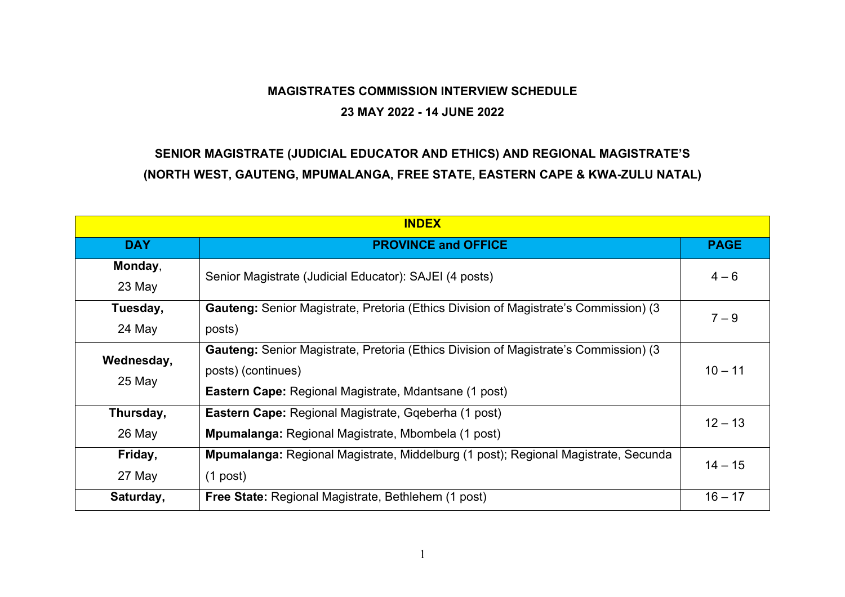## **MAGISTRATES COMMISSION INTERVIEW SCHEDULE**

## **23 MAY 2022 - 14 JUNE 2022**

## **SENIOR MAGISTRATE (JUDICIAL EDUCATOR AND ETHICS) AND REGIONAL MAGISTRATE'S (NORTH WEST, GAUTENG, MPUMALANGA, FREE STATE, EASTERN CAPE & KWA-ZULU NATAL)**

| <b>INDEX</b>         |                                                                                                                                                                                   |             |
|----------------------|-----------------------------------------------------------------------------------------------------------------------------------------------------------------------------------|-------------|
| <b>DAY</b>           | <b>PROVINCE and OFFICE</b>                                                                                                                                                        | <b>PAGE</b> |
| Monday,<br>23 May    | Senior Magistrate (Judicial Educator): SAJEI (4 posts)                                                                                                                            | $4 - 6$     |
| Tuesday,<br>24 May   | <b>Gauteng:</b> Senior Magistrate, Pretoria (Ethics Division of Magistrate's Commission) (3<br>posts)                                                                             | $7 - 9$     |
| Wednesday,<br>25 May | <b>Gauteng:</b> Senior Magistrate, Pretoria (Ethics Division of Magistrate's Commission) (3<br>posts) (continues)<br><b>Eastern Cape:</b> Regional Magistrate, Mdantsane (1 post) | $10 - 11$   |
| Thursday,<br>26 May  | <b>Eastern Cape:</b> Regional Magistrate, Ggeberha (1 post)<br><b>Mpumalanga: Regional Magistrate, Mbombela (1 post)</b>                                                          | $12 - 13$   |
| Friday,<br>27 May    | <b>Mpumalanga:</b> Regional Magistrate, Middelburg (1 post); Regional Magistrate, Secunda<br>$(1$ post)                                                                           | $14 - 15$   |
| Saturday,            | Free State: Regional Magistrate, Bethlehem (1 post)                                                                                                                               | $16 - 17$   |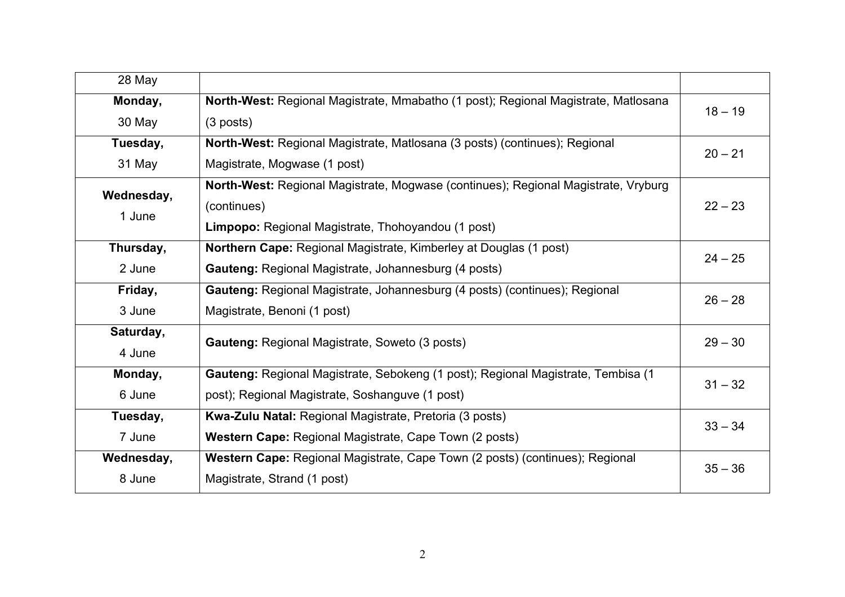| 28 May     |                                                                                    |           |
|------------|------------------------------------------------------------------------------------|-----------|
| Monday,    | North-West: Regional Magistrate, Mmabatho (1 post); Regional Magistrate, Matlosana | $18 - 19$ |
| 30 May     | $(3$ posts)                                                                        |           |
| Tuesday,   | North-West: Regional Magistrate, Matlosana (3 posts) (continues); Regional         | $20 - 21$ |
| 31 May     | Magistrate, Mogwase (1 post)                                                       |           |
| Wednesday, | North-West: Regional Magistrate, Mogwase (continues); Regional Magistrate, Vryburg |           |
| 1 June     | (continues)                                                                        | $22 - 23$ |
|            | Limpopo: Regional Magistrate, Thohoyandou (1 post)                                 |           |
| Thursday,  | <b>Northern Cape:</b> Regional Magistrate, Kimberley at Douglas (1 post)           | $24 - 25$ |
| 2 June     | Gauteng: Regional Magistrate, Johannesburg (4 posts)                               |           |
| Friday,    | Gauteng: Regional Magistrate, Johannesburg (4 posts) (continues); Regional         | $26 - 28$ |
| 3 June     | Magistrate, Benoni (1 post)                                                        |           |
| Saturday,  | <b>Gauteng: Regional Magistrate, Soweto (3 posts)</b>                              | $29 - 30$ |
| 4 June     |                                                                                    |           |
| Monday,    | Gauteng: Regional Magistrate, Sebokeng (1 post); Regional Magistrate, Tembisa (1   | $31 - 32$ |
| 6 June     | post); Regional Magistrate, Soshanguve (1 post)                                    |           |
| Tuesday,   | Kwa-Zulu Natal: Regional Magistrate, Pretoria (3 posts)                            | $33 - 34$ |
| 7 June     | Western Cape: Regional Magistrate, Cape Town (2 posts)                             |           |
| Wednesday, | Western Cape: Regional Magistrate, Cape Town (2 posts) (continues); Regional       | $35 - 36$ |
| 8 June     | Magistrate, Strand (1 post)                                                        |           |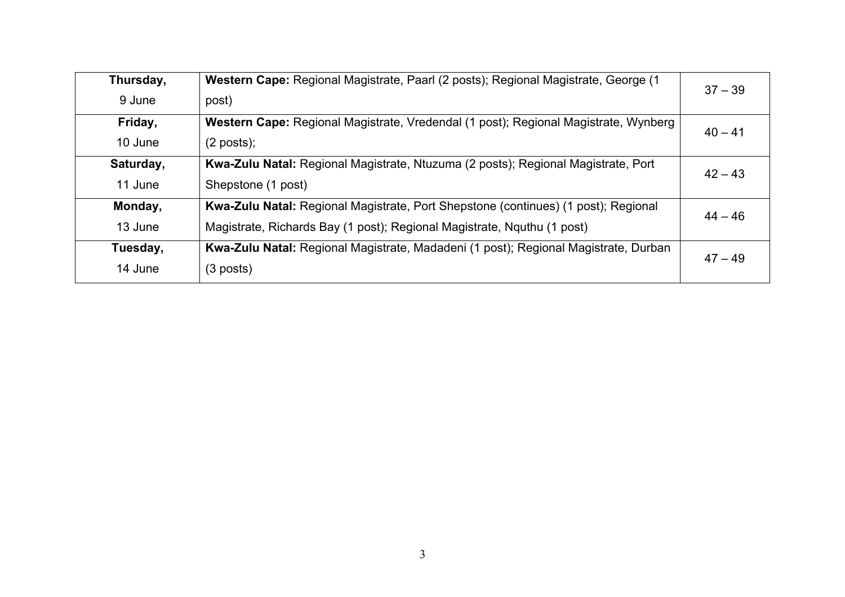| Thursday, | Western Cape: Regional Magistrate, Paarl (2 posts); Regional Magistrate, George (1  | $37 - 39$ |
|-----------|-------------------------------------------------------------------------------------|-----------|
| 9 June    | post)                                                                               |           |
| Friday,   | Western Cape: Regional Magistrate, Vredendal (1 post); Regional Magistrate, Wynberg | $40 - 41$ |
| 10 June   | $(2$ posts);                                                                        |           |
| Saturday, | Kwa-Zulu Natal: Regional Magistrate, Ntuzuma (2 posts); Regional Magistrate, Port   | $42 - 43$ |
| 11 June   | Shepstone (1 post)                                                                  |           |
| Monday,   | Kwa-Zulu Natal: Regional Magistrate, Port Shepstone (continues) (1 post); Regional  | $44 - 46$ |
| 13 June   | Magistrate, Richards Bay (1 post); Regional Magistrate, Nquthu (1 post)             |           |
| Tuesday,  | Kwa-Zulu Natal: Regional Magistrate, Madadeni (1 post); Regional Magistrate, Durban | $47 - 49$ |
| 14 June   | $(3$ posts)                                                                         |           |
|           |                                                                                     |           |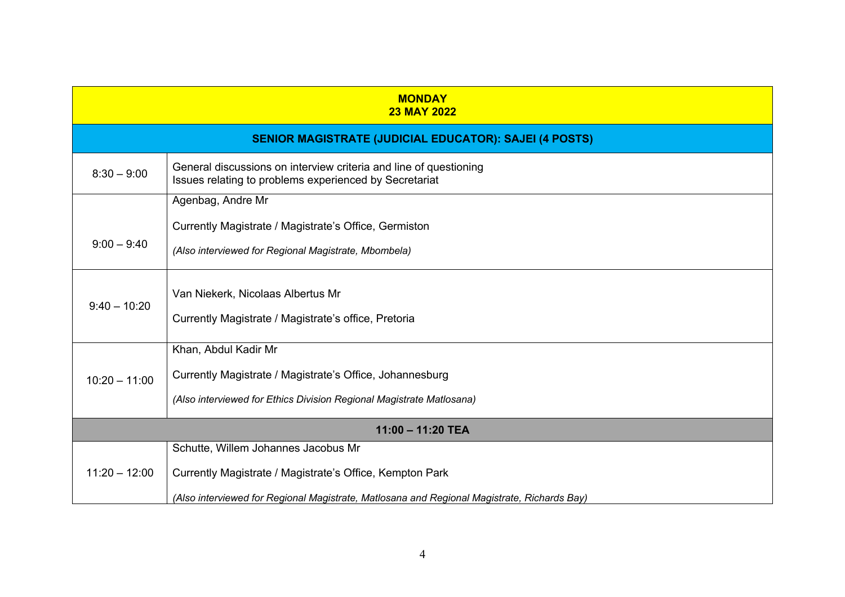| <b>MONDAY</b><br><b>23 MAY 2022</b> |                                                                                                                             |  |
|-------------------------------------|-----------------------------------------------------------------------------------------------------------------------------|--|
|                                     | <b>SENIOR MAGISTRATE (JUDICIAL EDUCATOR): SAJEI (4 POSTS)</b>                                                               |  |
| $8:30 - 9:00$                       | General discussions on interview criteria and line of questioning<br>Issues relating to problems experienced by Secretariat |  |
|                                     | Agenbag, Andre Mr                                                                                                           |  |
|                                     | Currently Magistrate / Magistrate's Office, Germiston                                                                       |  |
| $9:00 - 9:40$                       | (Also interviewed for Regional Magistrate, Mbombela)                                                                        |  |
| $9:40 - 10:20$                      | Van Niekerk, Nicolaas Albertus Mr                                                                                           |  |
|                                     | Currently Magistrate / Magistrate's office, Pretoria                                                                        |  |
|                                     | Khan, Abdul Kadir Mr                                                                                                        |  |
| $10:20 - 11:00$                     | Currently Magistrate / Magistrate's Office, Johannesburg                                                                    |  |
|                                     | (Also interviewed for Ethics Division Regional Magistrate Matlosana)                                                        |  |
| 11:00 - 11:20 TEA                   |                                                                                                                             |  |
|                                     | Schutte, Willem Johannes Jacobus Mr                                                                                         |  |
| $11:20 - 12:00$                     | Currently Magistrate / Magistrate's Office, Kempton Park                                                                    |  |
|                                     | (Also interviewed for Regional Magistrate, Matlosana and Regional Magistrate, Richards Bay)                                 |  |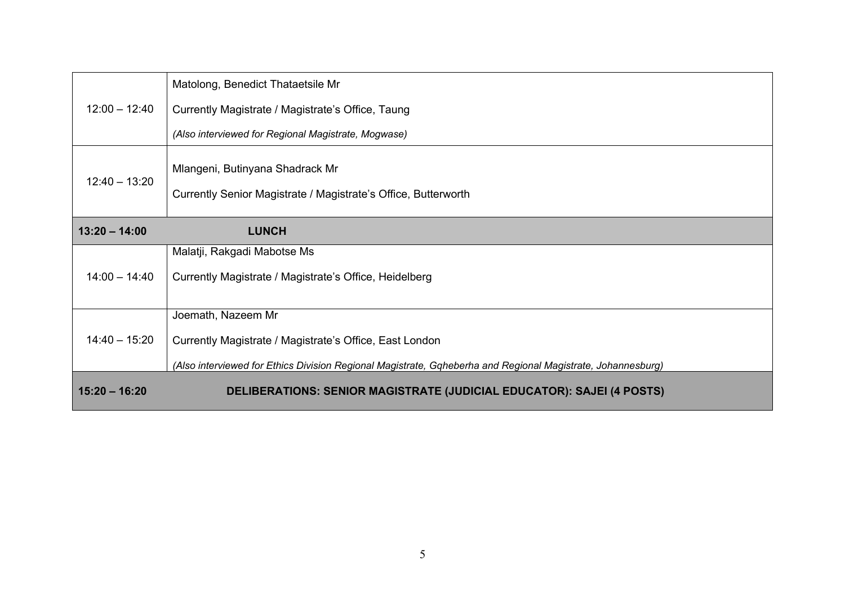| $12:00 - 12:40$ | Matolong, Benedict Thataetsile Mr<br>Currently Magistrate / Magistrate's Office, Taung                                                                                                       |
|-----------------|----------------------------------------------------------------------------------------------------------------------------------------------------------------------------------------------|
|                 | (Also interviewed for Regional Magistrate, Mogwase)                                                                                                                                          |
| $12:40 - 13:20$ | Mlangeni, Butinyana Shadrack Mr<br>Currently Senior Magistrate / Magistrate's Office, Butterworth                                                                                            |
| $13:20 - 14:00$ | <b>LUNCH</b>                                                                                                                                                                                 |
| $14:00 - 14:40$ | Malatji, Rakgadi Mabotse Ms<br>Currently Magistrate / Magistrate's Office, Heidelberg                                                                                                        |
| $14:40 - 15:20$ | Joemath, Nazeem Mr<br>Currently Magistrate / Magistrate's Office, East London<br>(Also interviewed for Ethics Division Regional Magistrate, Gqheberha and Regional Magistrate, Johannesburg) |
| $15:20 - 16:20$ | DELIBERATIONS: SENIOR MAGISTRATE (JUDICIAL EDUCATOR): SAJEI (4 POSTS)                                                                                                                        |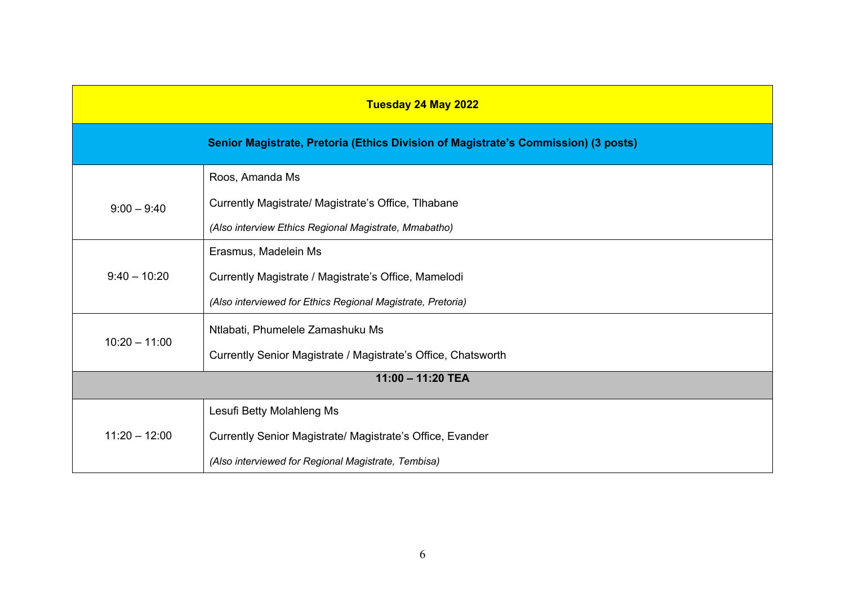| Tuesday 24 May 2022 |                                                                                    |
|---------------------|------------------------------------------------------------------------------------|
|                     | Senior Magistrate, Pretoria (Ethics Division of Magistrate's Commission) (3 posts) |
|                     | Roos, Amanda Ms                                                                    |
| $9:00 - 9:40$       | Currently Magistrate/ Magistrate's Office, Tlhabane                                |
|                     | (Also interview Ethics Regional Magistrate, Mmabatho)                              |
|                     | Erasmus, Madelein Ms                                                               |
| $9:40 - 10:20$      | Currently Magistrate / Magistrate's Office, Mamelodi                               |
|                     | (Also interviewed for Ethics Regional Magistrate, Pretoria)                        |
|                     | Ntlabati, Phumelele Zamashuku Ms                                                   |
| $10:20 - 11:00$     | Currently Senior Magistrate / Magistrate's Office, Chatsworth                      |
| 11:00 - 11:20 TEA   |                                                                                    |
|                     | Lesufi Betty Molahleng Ms                                                          |
| $11:20 - 12:00$     | Currently Senior Magistrate/ Magistrate's Office, Evander                          |
|                     | (Also interviewed for Regional Magistrate, Tembisa)                                |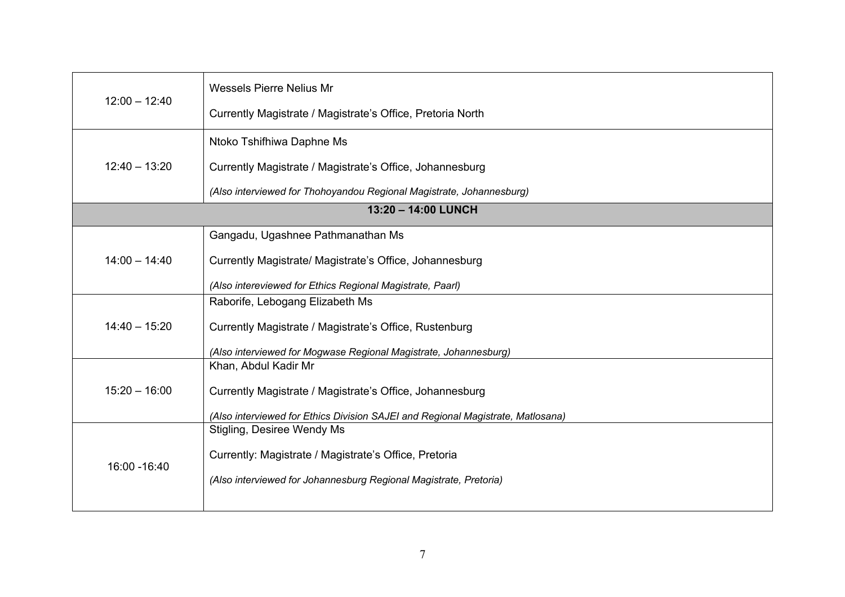| $12:00 - 12:40$ | <b>Wessels Pierre Nelius Mr</b>                                                 |
|-----------------|---------------------------------------------------------------------------------|
|                 | Currently Magistrate / Magistrate's Office, Pretoria North                      |
|                 | Ntoko Tshifhiwa Daphne Ms                                                       |
| $12:40 - 13:20$ | Currently Magistrate / Magistrate's Office, Johannesburg                        |
|                 | (Also interviewed for Thohoyandou Regional Magistrate, Johannesburg)            |
|                 | 13:20 - 14:00 LUNCH                                                             |
|                 | Gangadu, Ugashnee Pathmanathan Ms                                               |
| $14:00 - 14:40$ | Currently Magistrate/ Magistrate's Office, Johannesburg                         |
|                 | (Also intereviewed for Ethics Regional Magistrate, Paarl)                       |
|                 | Raborife, Lebogang Elizabeth Ms                                                 |
| $14:40 - 15:20$ | Currently Magistrate / Magistrate's Office, Rustenburg                          |
|                 | (Also interviewed for Mogwase Regional Magistrate, Johannesburg)                |
|                 | Khan, Abdul Kadir Mr                                                            |
| $15:20 - 16:00$ | Currently Magistrate / Magistrate's Office, Johannesburg                        |
|                 | (Also interviewed for Ethics Division SAJEI and Regional Magistrate, Matlosana) |
|                 | Stigling, Desiree Wendy Ms                                                      |
|                 | Currently: Magistrate / Magistrate's Office, Pretoria                           |
| 16:00 - 16:40   | (Also interviewed for Johannesburg Regional Magistrate, Pretoria)               |
|                 |                                                                                 |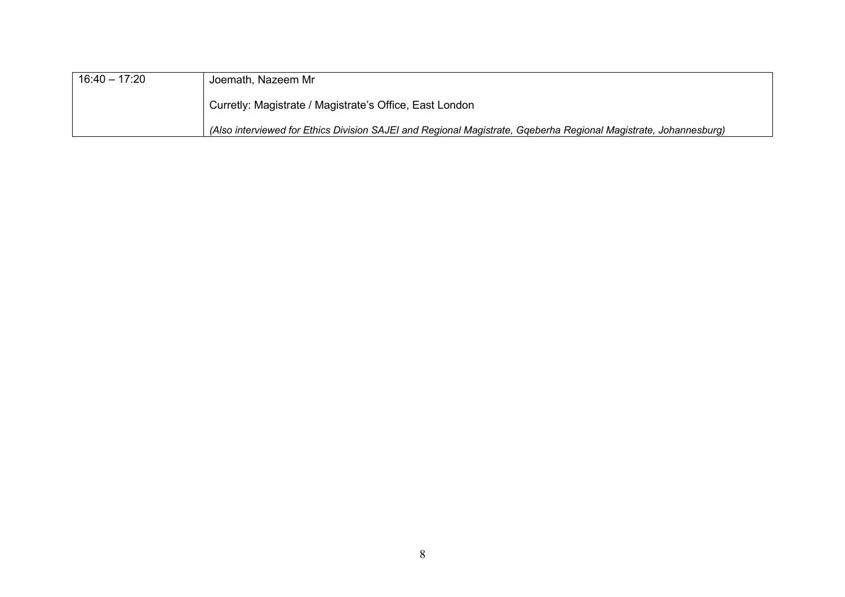| $16:40 - 17:20$ | Joemath, Nazeem Mr                                                                                               |
|-----------------|------------------------------------------------------------------------------------------------------------------|
|                 | Curretly: Magistrate / Magistrate's Office, East London                                                          |
|                 | (Also interviewed for Ethics Division SAJEI and Regional Magistrate, Gqeberha Regional Magistrate, Johannesburg) |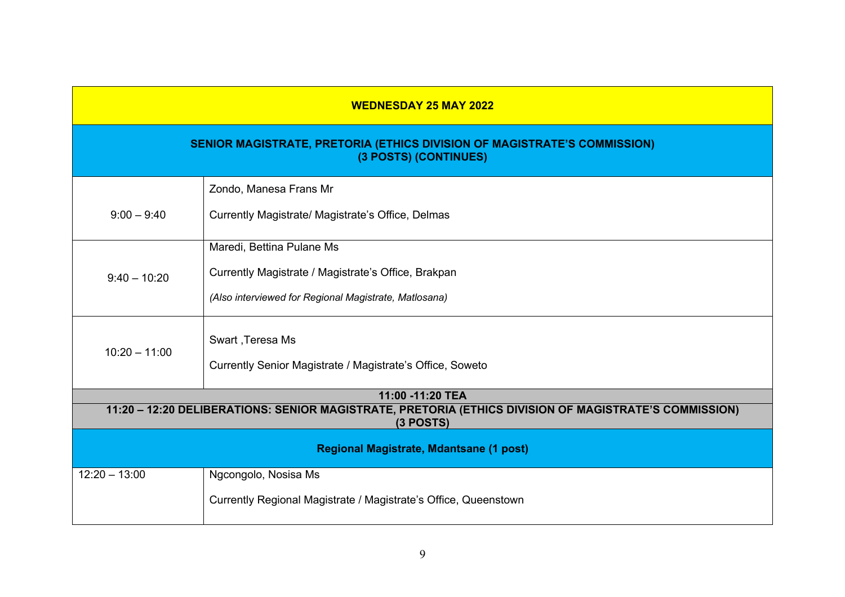| <b>WEDNESDAY 25 MAY 2022</b>                                                                                         |                                                                                                                                           |  |  |
|----------------------------------------------------------------------------------------------------------------------|-------------------------------------------------------------------------------------------------------------------------------------------|--|--|
|                                                                                                                      | SENIOR MAGISTRATE, PRETORIA (ETHICS DIVISION OF MAGISTRATE'S COMMISSION)<br>(3 POSTS) (CONTINUES)                                         |  |  |
| $9:00 - 9:40$                                                                                                        | Zondo, Manesa Frans Mr<br>Currently Magistrate/ Magistrate's Office, Delmas                                                               |  |  |
| $9:40 - 10:20$                                                                                                       | Maredi, Bettina Pulane Ms<br>Currently Magistrate / Magistrate's Office, Brakpan<br>(Also interviewed for Regional Magistrate, Matlosana) |  |  |
| $10:20 - 11:00$                                                                                                      | Swart, Teresa Ms<br>Currently Senior Magistrate / Magistrate's Office, Soweto                                                             |  |  |
|                                                                                                                      | 11:00 -11:20 TEA                                                                                                                          |  |  |
| 11:20 - 12:20 DELIBERATIONS: SENIOR MAGISTRATE, PRETORIA (ETHICS DIVISION OF MAGISTRATE'S COMMISSION)<br>$(3$ POSTS) |                                                                                                                                           |  |  |
| <b>Regional Magistrate, Mdantsane (1 post)</b>                                                                       |                                                                                                                                           |  |  |
| $12:20 - 13:00$                                                                                                      | Ngcongolo, Nosisa Ms<br>Currently Regional Magistrate / Magistrate's Office, Queenstown                                                   |  |  |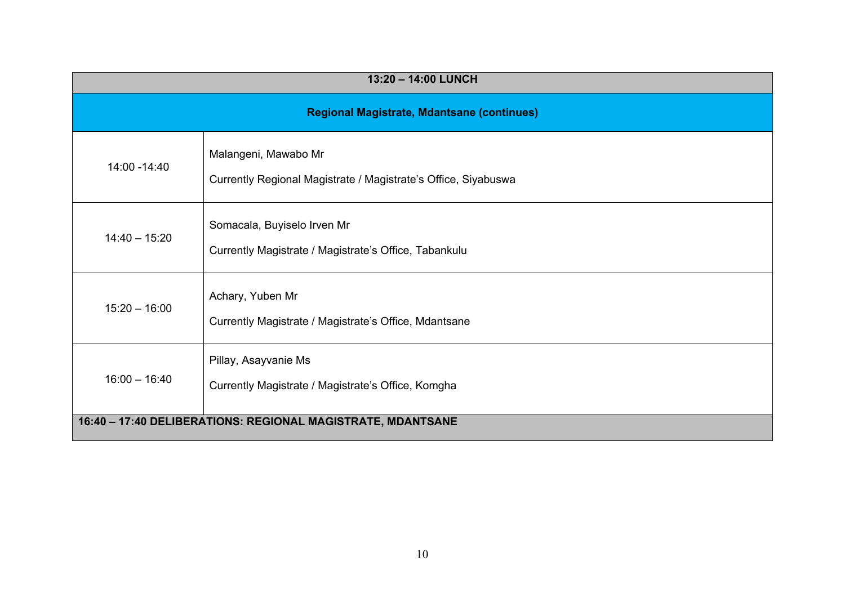| 13:20 - 14:00 LUNCH                                         |                                                                                        |  |
|-------------------------------------------------------------|----------------------------------------------------------------------------------------|--|
| <b>Regional Magistrate, Mdantsane (continues)</b>           |                                                                                        |  |
| 14:00 - 14:40                                               | Malangeni, Mawabo Mr<br>Currently Regional Magistrate / Magistrate's Office, Siyabuswa |  |
| $14:40 - 15:20$                                             | Somacala, Buyiselo Irven Mr<br>Currently Magistrate / Magistrate's Office, Tabankulu   |  |
| $15:20 - 16:00$                                             | Achary, Yuben Mr<br>Currently Magistrate / Magistrate's Office, Mdantsane              |  |
| $16:00 - 16:40$                                             | Pillay, Asayvanie Ms<br>Currently Magistrate / Magistrate's Office, Komgha             |  |
| 16:40 - 17:40 DELIBERATIONS: REGIONAL MAGISTRATE, MDANTSANE |                                                                                        |  |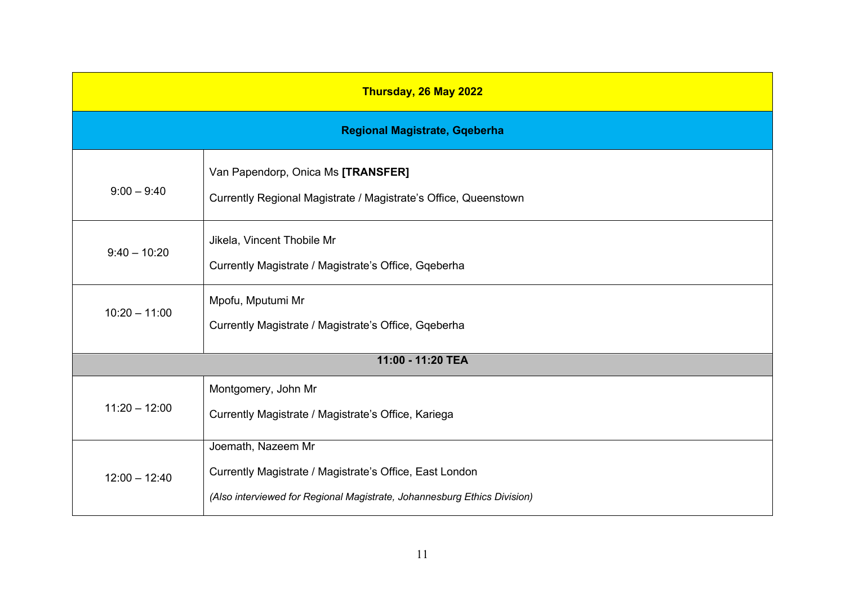| Thursday, 26 May 2022                |                                                                                                                                                           |  |
|--------------------------------------|-----------------------------------------------------------------------------------------------------------------------------------------------------------|--|
| <b>Regional Magistrate, Gqeberha</b> |                                                                                                                                                           |  |
| $9:00 - 9:40$                        | Van Papendorp, Onica Ms [TRANSFER]<br>Currently Regional Magistrate / Magistrate's Office, Queenstown                                                     |  |
| $9:40 - 10:20$                       | Jikela, Vincent Thobile Mr<br>Currently Magistrate / Magistrate's Office, Gqeberha                                                                        |  |
| $10:20 - 11:00$                      | Mpofu, Mputumi Mr<br>Currently Magistrate / Magistrate's Office, Gqeberha                                                                                 |  |
|                                      | 11:00 - 11:20 TEA                                                                                                                                         |  |
| $11:20 - 12:00$                      | Montgomery, John Mr<br>Currently Magistrate / Magistrate's Office, Kariega                                                                                |  |
| $12:00 - 12:40$                      | Joemath, Nazeem Mr<br>Currently Magistrate / Magistrate's Office, East London<br>(Also interviewed for Regional Magistrate, Johannesburg Ethics Division) |  |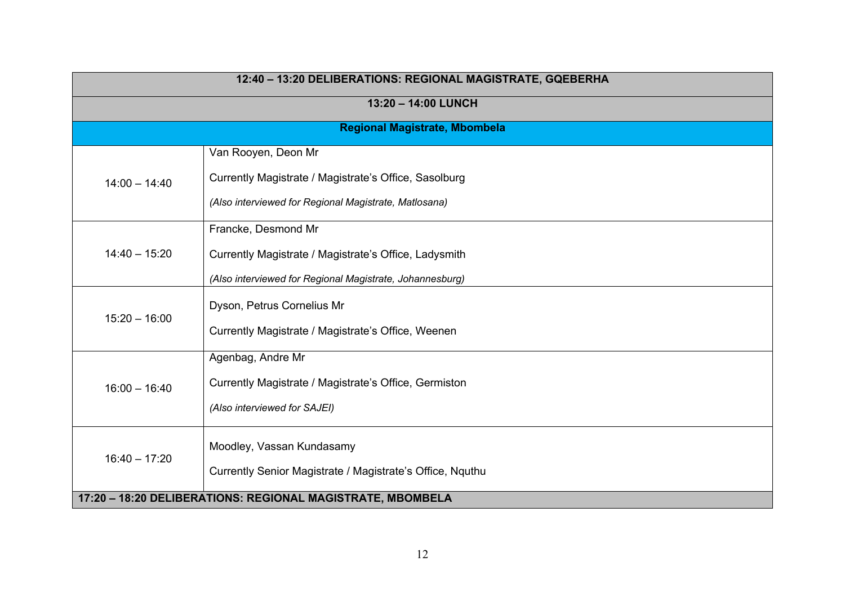| 12:40 - 13:20 DELIBERATIONS: REGIONAL MAGISTRATE, GQEBERHA |                                                                                                                                          |
|------------------------------------------------------------|------------------------------------------------------------------------------------------------------------------------------------------|
|                                                            | 13:20 - 14:00 LUNCH                                                                                                                      |
|                                                            | <b>Regional Magistrate, Mbombela</b>                                                                                                     |
| $14:00 - 14:40$                                            | Van Rooyen, Deon Mr<br>Currently Magistrate / Magistrate's Office, Sasolburg<br>(Also interviewed for Regional Magistrate, Matlosana)    |
| $14:40 - 15:20$                                            | Francke, Desmond Mr<br>Currently Magistrate / Magistrate's Office, Ladysmith<br>(Also interviewed for Regional Magistrate, Johannesburg) |
| $15:20 - 16:00$                                            | Dyson, Petrus Cornelius Mr<br>Currently Magistrate / Magistrate's Office, Weenen                                                         |
| $16:00 - 16:40$                                            | Agenbag, Andre Mr<br>Currently Magistrate / Magistrate's Office, Germiston<br>(Also interviewed for SAJEI)                               |
| $16:40 - 17:20$                                            | Moodley, Vassan Kundasamy<br>Currently Senior Magistrate / Magistrate's Office, Nquthu                                                   |
| 17:20 - 18:20 DELIBERATIONS: REGIONAL MAGISTRATE, MBOMBELA |                                                                                                                                          |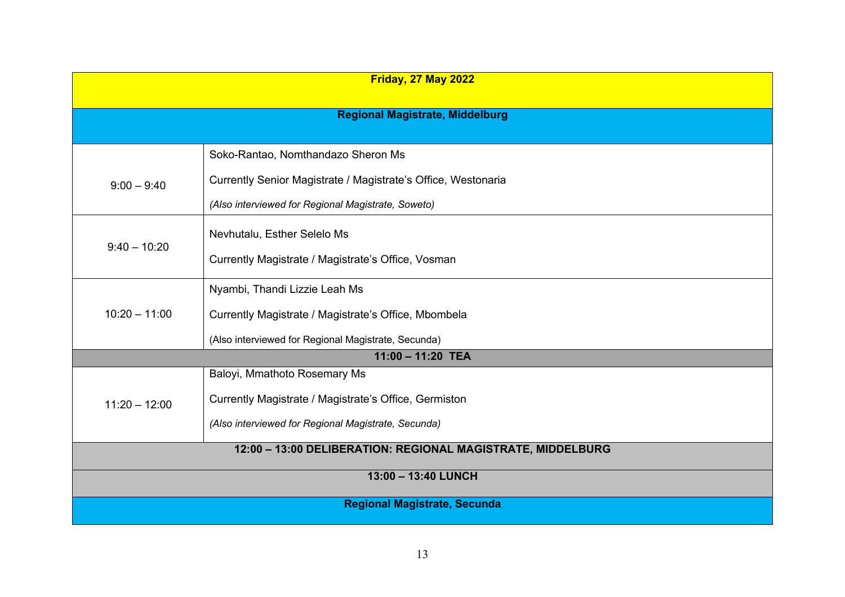| <b>Friday, 27 May 2022</b>                                  |                                                               |  |
|-------------------------------------------------------------|---------------------------------------------------------------|--|
|                                                             | <b>Regional Magistrate, Middelburg</b>                        |  |
|                                                             | Soko-Rantao, Nomthandazo Sheron Ms                            |  |
|                                                             |                                                               |  |
| $9:00 - 9:40$                                               | Currently Senior Magistrate / Magistrate's Office, Westonaria |  |
|                                                             | (Also interviewed for Regional Magistrate, Soweto)            |  |
| $9:40 - 10:20$                                              | Nevhutalu, Esther Selelo Ms                                   |  |
|                                                             | Currently Magistrate / Magistrate's Office, Vosman            |  |
| $10:20 - 11:00$                                             | Nyambi, Thandi Lizzie Leah Ms                                 |  |
|                                                             | Currently Magistrate / Magistrate's Office, Mbombela          |  |
|                                                             | (Also interviewed for Regional Magistrate, Secunda)           |  |
|                                                             | $11:00 - 11:20$ TEA                                           |  |
|                                                             | Baloyi, Mmathoto Rosemary Ms                                  |  |
| $11:20 - 12:00$                                             | Currently Magistrate / Magistrate's Office, Germiston         |  |
|                                                             | (Also interviewed for Regional Magistrate, Secunda)           |  |
| 12:00 - 13:00 DELIBERATION: REGIONAL MAGISTRATE, MIDDELBURG |                                                               |  |
| 13:00 - 13:40 LUNCH                                         |                                                               |  |
| <b>Regional Magistrate, Secunda</b>                         |                                                               |  |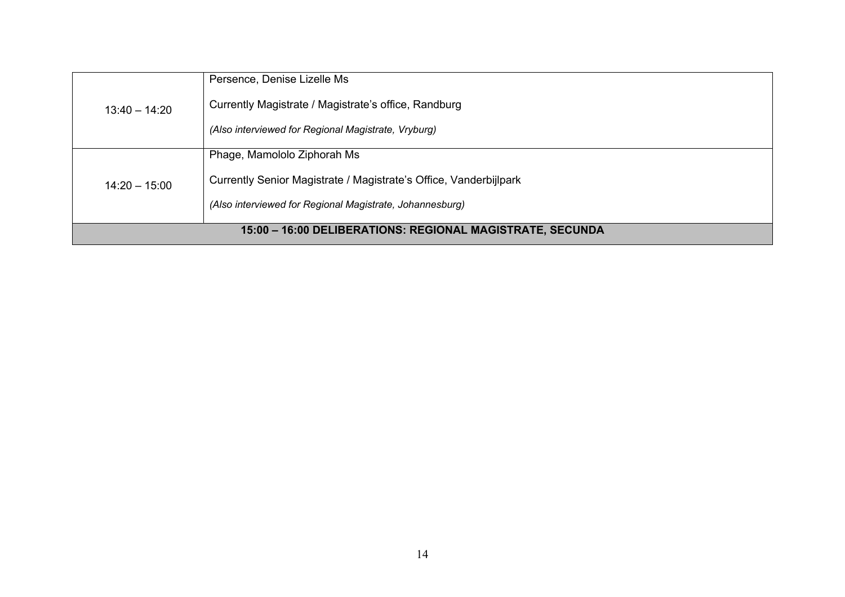| $13:40 - 14:20$                                           | Persence, Denise Lizelle Ms                                       |
|-----------------------------------------------------------|-------------------------------------------------------------------|
|                                                           | Currently Magistrate / Magistrate's office, Randburg              |
|                                                           | (Also interviewed for Regional Magistrate, Vryburg)               |
| $14:20 - 15:00$                                           | Phage, Mamololo Ziphorah Ms                                       |
|                                                           | Currently Senior Magistrate / Magistrate's Office, Vanderbijlpark |
|                                                           | (Also interviewed for Regional Magistrate, Johannesburg)          |
| 15:00 - 16:00 DELIBERATIONS: REGIONAL MAGISTRATE, SECUNDA |                                                                   |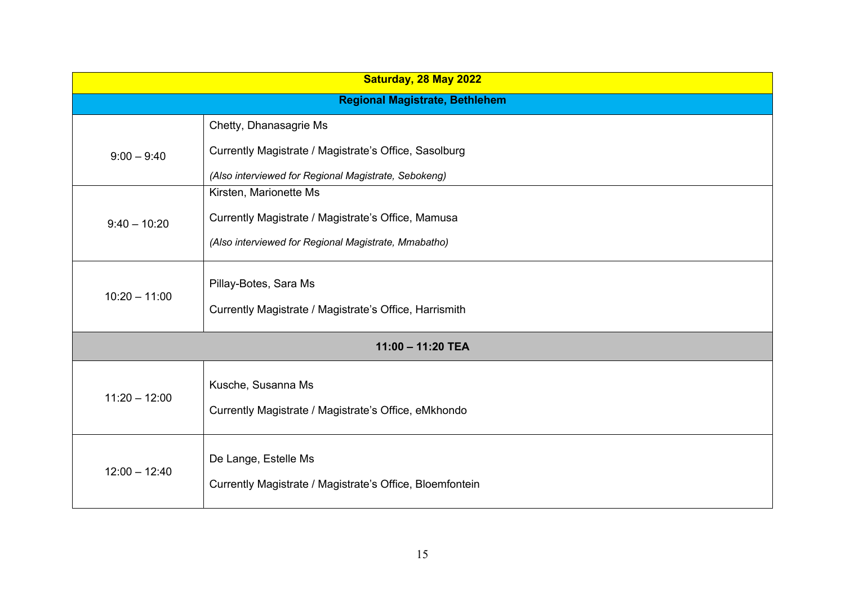| Saturday, 28 May 2022 |                                                          |  |
|-----------------------|----------------------------------------------------------|--|
|                       | <b>Regional Magistrate, Bethlehem</b>                    |  |
|                       | Chetty, Dhanasagrie Ms                                   |  |
| $9:00 - 9:40$         | Currently Magistrate / Magistrate's Office, Sasolburg    |  |
|                       | (Also interviewed for Regional Magistrate, Sebokeng)     |  |
|                       | Kirsten, Marionette Ms                                   |  |
| $9:40 - 10:20$        | Currently Magistrate / Magistrate's Office, Mamusa       |  |
|                       | (Also interviewed for Regional Magistrate, Mmabatho)     |  |
| $10:20 - 11:00$       | Pillay-Botes, Sara Ms                                    |  |
|                       | Currently Magistrate / Magistrate's Office, Harrismith   |  |
| 11:00 - 11:20 TEA     |                                                          |  |
|                       | Kusche, Susanna Ms                                       |  |
| $11:20 - 12:00$       | Currently Magistrate / Magistrate's Office, eMkhondo     |  |
|                       |                                                          |  |
| $12:00 - 12:40$       | De Lange, Estelle Ms                                     |  |
|                       |                                                          |  |
|                       | Currently Magistrate / Magistrate's Office, Bloemfontein |  |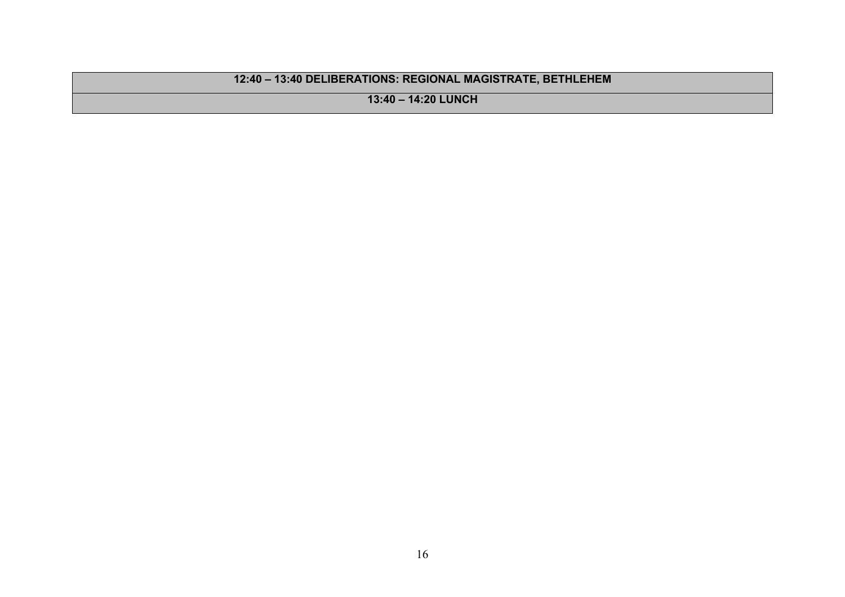## **12:40 – 13:40 DELIBERATIONS: REGIONAL MAGISTRATE, BETHLEHEM**

**13:40 – 14:20 LUNCH**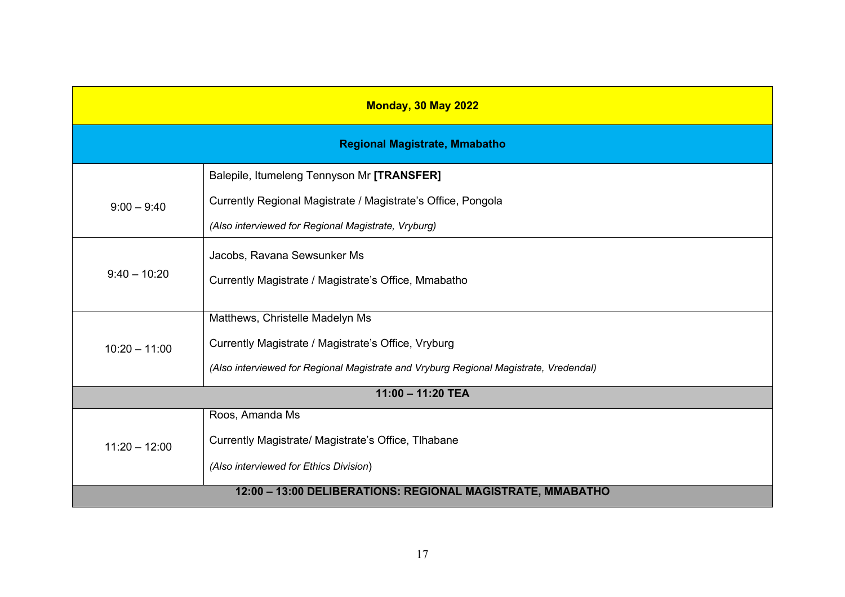| <b>Monday, 30 May 2022</b>                                 |                                                                                       |  |
|------------------------------------------------------------|---------------------------------------------------------------------------------------|--|
| <b>Regional Magistrate, Mmabatho</b>                       |                                                                                       |  |
|                                                            | Balepile, Itumeleng Tennyson Mr [TRANSFER]                                            |  |
| $9:00 - 9:40$                                              | Currently Regional Magistrate / Magistrate's Office, Pongola                          |  |
|                                                            | (Also interviewed for Regional Magistrate, Vryburg)                                   |  |
| $9:40 - 10:20$                                             | Jacobs, Ravana Sewsunker Ms                                                           |  |
|                                                            | Currently Magistrate / Magistrate's Office, Mmabatho                                  |  |
|                                                            |                                                                                       |  |
|                                                            | Matthews, Christelle Madelyn Ms                                                       |  |
| $10:20 - 11:00$                                            | Currently Magistrate / Magistrate's Office, Vryburg                                   |  |
|                                                            | (Also interviewed for Regional Magistrate and Vryburg Regional Magistrate, Vredendal) |  |
| $11:00 - 11:20$ TEA                                        |                                                                                       |  |
|                                                            | Roos, Amanda Ms                                                                       |  |
| $11:20 - 12:00$                                            | Currently Magistrate/ Magistrate's Office, Tlhabane                                   |  |
|                                                            | (Also interviewed for Ethics Division)                                                |  |
| 12:00 - 13:00 DELIBERATIONS: REGIONAL MAGISTRATE, MMABATHO |                                                                                       |  |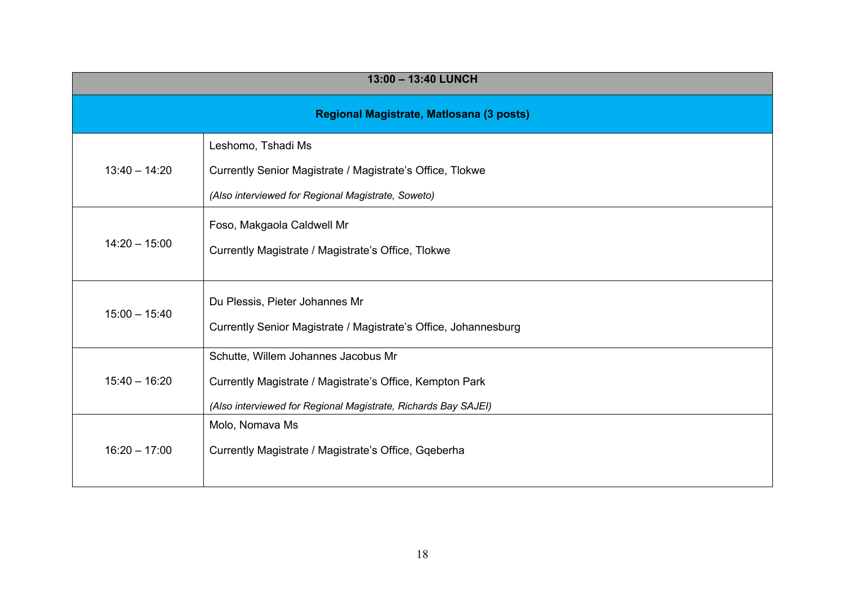| 13:00 - 13:40 LUNCH                      |                                                                                                                                                                   |
|------------------------------------------|-------------------------------------------------------------------------------------------------------------------------------------------------------------------|
| Regional Magistrate, Matlosana (3 posts) |                                                                                                                                                                   |
| $13:40 - 14:20$                          | Leshomo, Tshadi Ms<br>Currently Senior Magistrate / Magistrate's Office, Tlokwe<br>(Also interviewed for Regional Magistrate, Soweto)                             |
| $14:20 - 15:00$                          | Foso, Makgaola Caldwell Mr<br>Currently Magistrate / Magistrate's Office, Tlokwe                                                                                  |
| $15:00 - 15:40$                          | Du Plessis, Pieter Johannes Mr<br>Currently Senior Magistrate / Magistrate's Office, Johannesburg                                                                 |
| $15:40 - 16:20$                          | Schutte, Willem Johannes Jacobus Mr<br>Currently Magistrate / Magistrate's Office, Kempton Park<br>(Also interviewed for Regional Magistrate, Richards Bay SAJEI) |
| $16:20 - 17:00$                          | Molo, Nomava Ms<br>Currently Magistrate / Magistrate's Office, Gqeberha                                                                                           |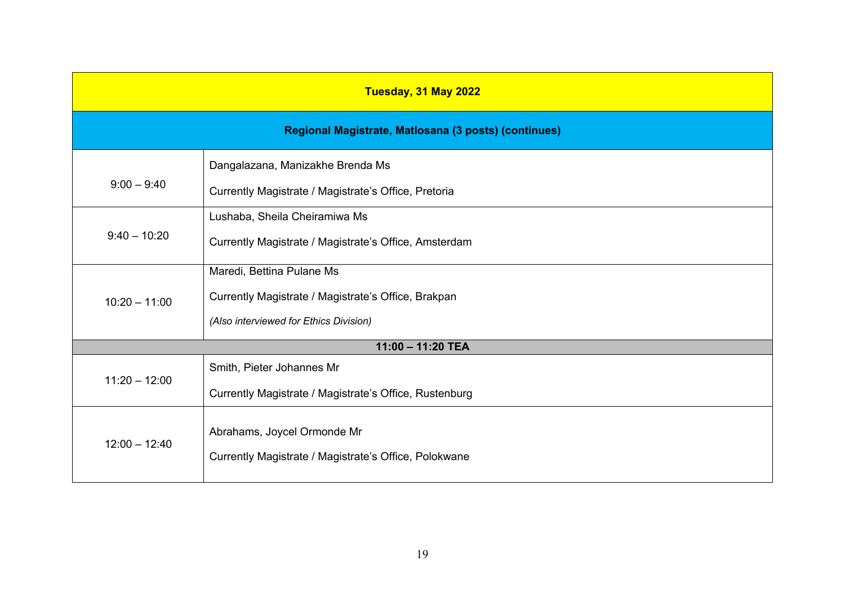| Tuesday, 31 May 2022                                 |                                                        |  |
|------------------------------------------------------|--------------------------------------------------------|--|
| Regional Magistrate, Matlosana (3 posts) (continues) |                                                        |  |
|                                                      | Dangalazana, Manizakhe Brenda Ms                       |  |
| $9:00 - 9:40$                                        | Currently Magistrate / Magistrate's Office, Pretoria   |  |
|                                                      | Lushaba, Sheila Cheiramiwa Ms                          |  |
| $9:40 - 10:20$                                       | Currently Magistrate / Magistrate's Office, Amsterdam  |  |
|                                                      | Maredi, Bettina Pulane Ms                              |  |
| $10:20 - 11:00$                                      | Currently Magistrate / Magistrate's Office, Brakpan    |  |
|                                                      | (Also interviewed for Ethics Division)                 |  |
| 11:00 - 11:20 TEA                                    |                                                        |  |
| $11:20 - 12:00$                                      | Smith, Pieter Johannes Mr                              |  |
|                                                      | Currently Magistrate / Magistrate's Office, Rustenburg |  |
| $12:00 - 12:40$                                      | Abrahams, Joycel Ormonde Mr                            |  |
|                                                      |                                                        |  |
|                                                      | Currently Magistrate / Magistrate's Office, Polokwane  |  |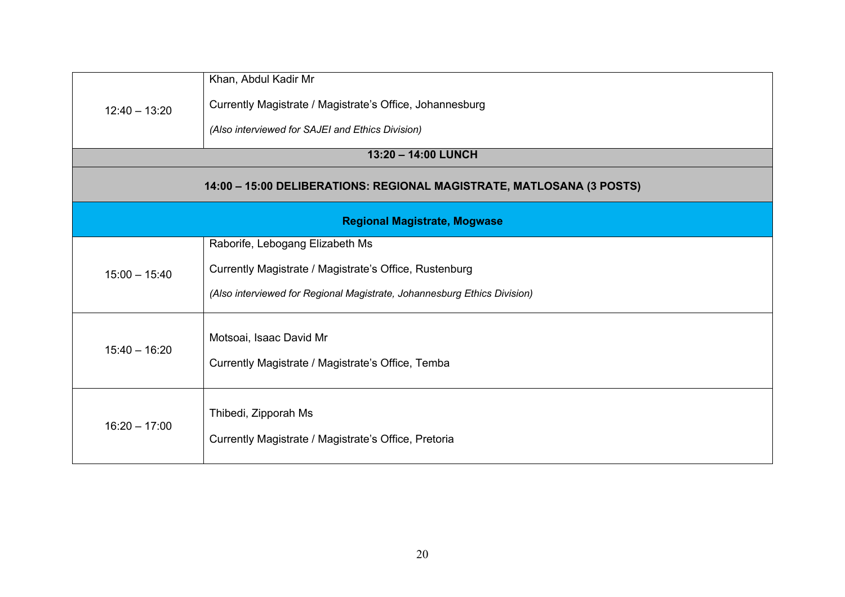| $12:40 - 13:20$                                                       | Khan, Abdul Kadir Mr<br>Currently Magistrate / Magistrate's Office, Johannesburg                                                                                      |  |
|-----------------------------------------------------------------------|-----------------------------------------------------------------------------------------------------------------------------------------------------------------------|--|
|                                                                       | (Also interviewed for SAJEI and Ethics Division)<br>13:20 - 14:00 LUNCH                                                                                               |  |
| 14:00 - 15:00 DELIBERATIONS: REGIONAL MAGISTRATE, MATLOSANA (3 POSTS) |                                                                                                                                                                       |  |
| <b>Regional Magistrate, Mogwase</b>                                   |                                                                                                                                                                       |  |
| $15:00 - 15:40$                                                       | Raborife, Lebogang Elizabeth Ms<br>Currently Magistrate / Magistrate's Office, Rustenburg<br>(Also interviewed for Regional Magistrate, Johannesburg Ethics Division) |  |
| $15:40 - 16:20$                                                       | Motsoai, Isaac David Mr<br>Currently Magistrate / Magistrate's Office, Temba                                                                                          |  |
| $16:20 - 17:00$                                                       | Thibedi, Zipporah Ms<br>Currently Magistrate / Magistrate's Office, Pretoria                                                                                          |  |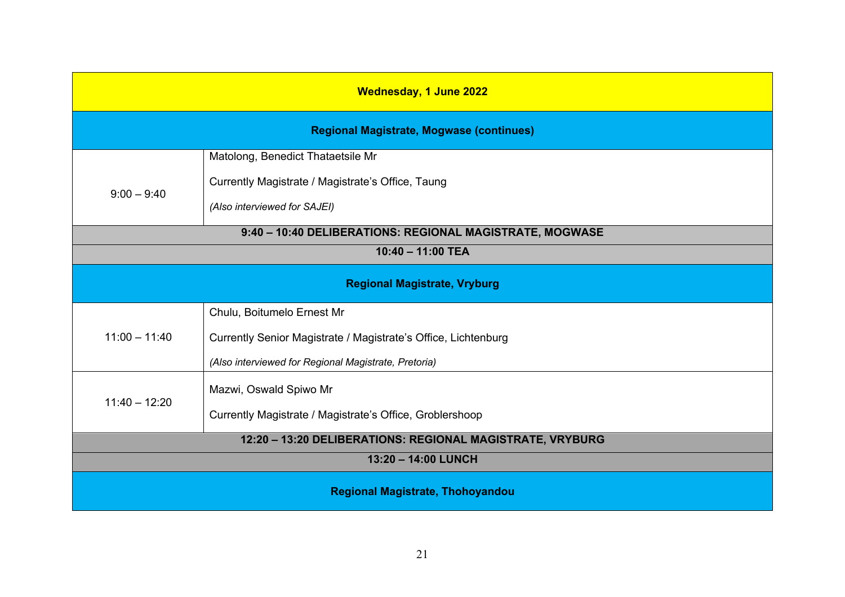| <b>Wednesday, 1 June 2022</b>                             |                                                                |  |
|-----------------------------------------------------------|----------------------------------------------------------------|--|
| <b>Regional Magistrate, Mogwase (continues)</b>           |                                                                |  |
|                                                           | Matolong, Benedict Thataetsile Mr                              |  |
| $9:00 - 9:40$                                             | Currently Magistrate / Magistrate's Office, Taung              |  |
|                                                           | (Also interviewed for SAJEI)                                   |  |
| 9:40 - 10:40 DELIBERATIONS: REGIONAL MAGISTRATE, MOGWASE  |                                                                |  |
| $10:40 - 11:00$ TEA                                       |                                                                |  |
| <b>Regional Magistrate, Vryburg</b>                       |                                                                |  |
|                                                           | Chulu, Boitumelo Ernest Mr                                     |  |
| $11:00 - 11:40$                                           | Currently Senior Magistrate / Magistrate's Office, Lichtenburg |  |
|                                                           | (Also interviewed for Regional Magistrate, Pretoria)           |  |
| $11:40 - 12:20$                                           | Mazwi, Oswald Spiwo Mr                                         |  |
|                                                           | Currently Magistrate / Magistrate's Office, Groblershoop       |  |
| 12:20 - 13:20 DELIBERATIONS: REGIONAL MAGISTRATE, VRYBURG |                                                                |  |
| 13:20 - 14:00 LUNCH                                       |                                                                |  |
| <b>Regional Magistrate, Thohoyandou</b>                   |                                                                |  |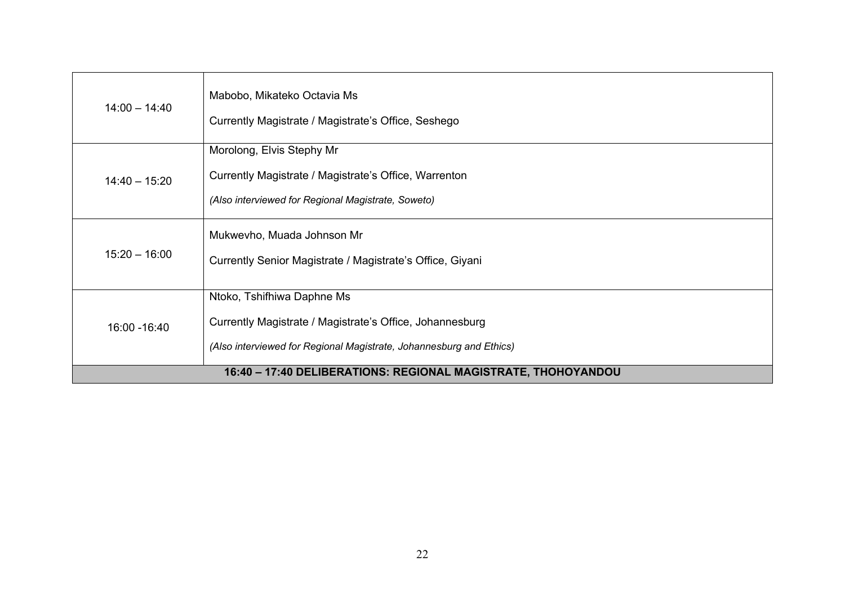| $14:00 - 14:40$                                               | Mabobo, Mikateko Octavia Ms<br>Currently Magistrate / Magistrate's Office, Seshego                                                                            |
|---------------------------------------------------------------|---------------------------------------------------------------------------------------------------------------------------------------------------------------|
| $14:40 - 15:20$                                               | Morolong, Elvis Stephy Mr<br>Currently Magistrate / Magistrate's Office, Warrenton<br>(Also interviewed for Regional Magistrate, Soweto)                      |
| $15:20 - 16:00$                                               | Mukwevho, Muada Johnson Mr<br>Currently Senior Magistrate / Magistrate's Office, Giyani                                                                       |
| 16:00 - 16:40                                                 | Ntoko, Tshifhiwa Daphne Ms<br>Currently Magistrate / Magistrate's Office, Johannesburg<br>(Also interviewed for Regional Magistrate, Johannesburg and Ethics) |
| 16:40 - 17:40 DELIBERATIONS: REGIONAL MAGISTRATE, THOHOYANDOU |                                                                                                                                                               |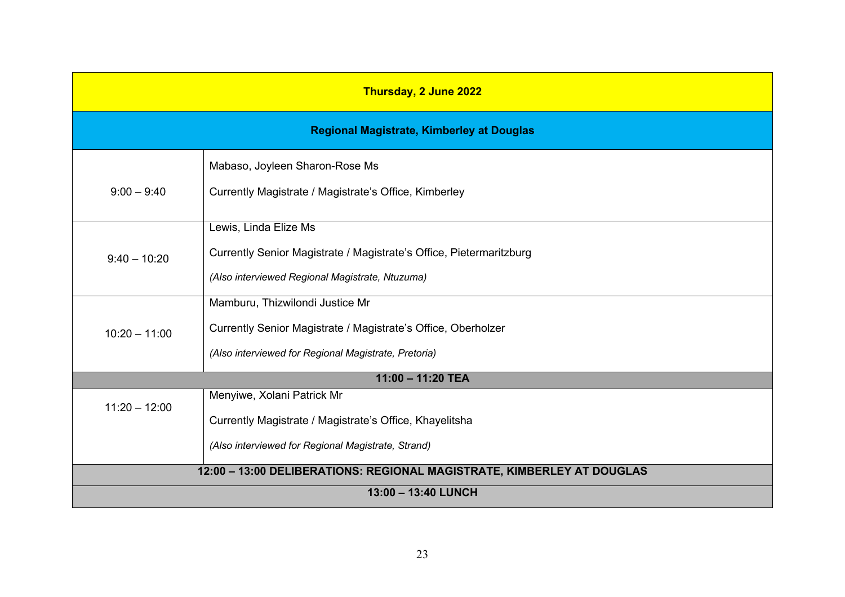| Thursday, 2 June 2022                                                  |                                                                     |
|------------------------------------------------------------------------|---------------------------------------------------------------------|
| <b>Regional Magistrate, Kimberley at Douglas</b>                       |                                                                     |
|                                                                        | Mabaso, Joyleen Sharon-Rose Ms                                      |
| $9:00 - 9:40$                                                          | Currently Magistrate / Magistrate's Office, Kimberley               |
|                                                                        | Lewis, Linda Elize Ms                                               |
| $9:40 - 10:20$                                                         | Currently Senior Magistrate / Magistrate's Office, Pietermaritzburg |
|                                                                        | (Also interviewed Regional Magistrate, Ntuzuma)                     |
|                                                                        | Mamburu, Thizwilondi Justice Mr                                     |
| $10:20 - 11:00$                                                        | Currently Senior Magistrate / Magistrate's Office, Oberholzer       |
|                                                                        | (Also interviewed for Regional Magistrate, Pretoria)                |
| 11:00 - 11:20 TEA                                                      |                                                                     |
| $11:20 - 12:00$                                                        | Menyiwe, Xolani Patrick Mr                                          |
|                                                                        | Currently Magistrate / Magistrate's Office, Khayelitsha             |
|                                                                        | (Also interviewed for Regional Magistrate, Strand)                  |
| 12:00 - 13:00 DELIBERATIONS: REGIONAL MAGISTRATE, KIMBERLEY AT DOUGLAS |                                                                     |
| 13:00 - 13:40 LUNCH                                                    |                                                                     |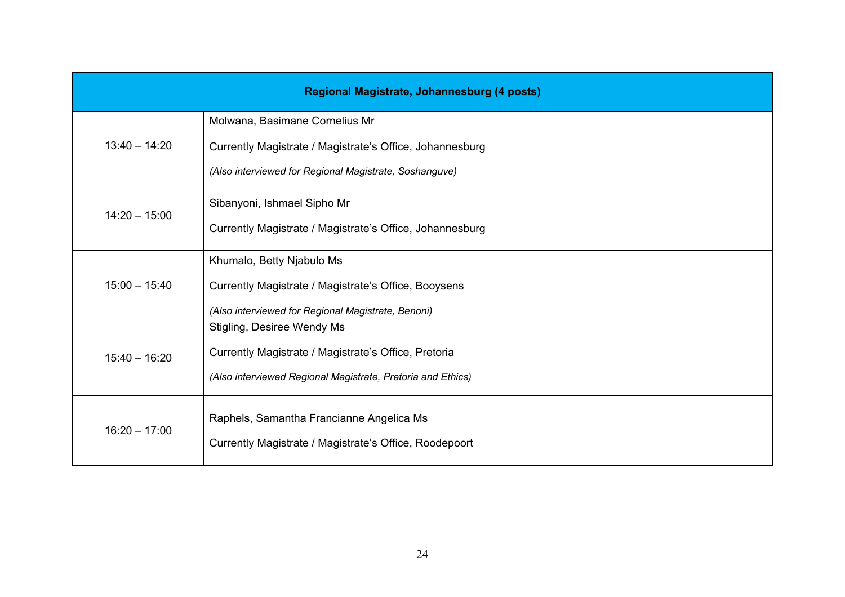| Regional Magistrate, Johannesburg (4 posts) |                                                             |
|---------------------------------------------|-------------------------------------------------------------|
| $13:40 - 14:20$                             | Molwana, Basimane Cornelius Mr                              |
|                                             | Currently Magistrate / Magistrate's Office, Johannesburg    |
|                                             | (Also interviewed for Regional Magistrate, Soshanguve)      |
| $14:20 - 15:00$                             | Sibanyoni, Ishmael Sipho Mr                                 |
|                                             | Currently Magistrate / Magistrate's Office, Johannesburg    |
| $15:00 - 15:40$                             | Khumalo, Betty Njabulo Ms                                   |
|                                             | Currently Magistrate / Magistrate's Office, Booysens        |
|                                             | (Also interviewed for Regional Magistrate, Benoni)          |
|                                             | Stigling, Desiree Wendy Ms                                  |
| $15:40 - 16:20$                             | Currently Magistrate / Magistrate's Office, Pretoria        |
|                                             | (Also interviewed Regional Magistrate, Pretoria and Ethics) |
| $16:20 - 17:00$                             | Raphels, Samantha Francianne Angelica Ms                    |
|                                             | Currently Magistrate / Magistrate's Office, Roodepoort      |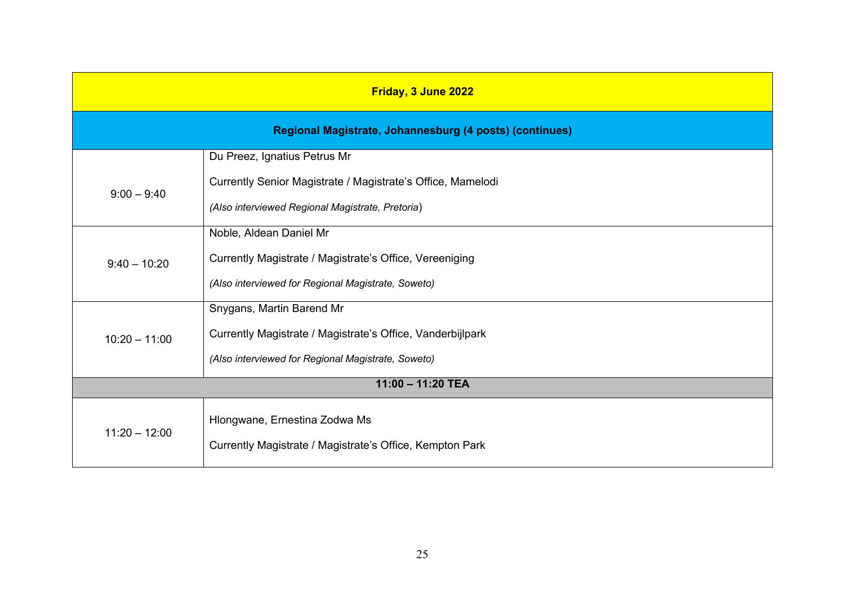| Friday, 3 June 2022                                                                       |  |  |
|-------------------------------------------------------------------------------------------|--|--|
| Regional Magistrate, Johannesburg (4 posts) (continues)                                   |  |  |
| Du Preez, Ignatius Petrus Mr                                                              |  |  |
| Currently Senior Magistrate / Magistrate's Office, Mamelodi                               |  |  |
| (Also interviewed Regional Magistrate, Pretoria)                                          |  |  |
| Noble, Aldean Daniel Mr                                                                   |  |  |
| Currently Magistrate / Magistrate's Office, Vereeniging                                   |  |  |
| (Also interviewed for Regional Magistrate, Soweto)                                        |  |  |
| Snygans, Martin Barend Mr                                                                 |  |  |
| Currently Magistrate / Magistrate's Office, Vanderbijlpark                                |  |  |
| (Also interviewed for Regional Magistrate, Soweto)                                        |  |  |
| $11:00 - 11:20$ TEA                                                                       |  |  |
| Hlongwane, Ernestina Zodwa Ms<br>Currently Magistrate / Magistrate's Office, Kempton Park |  |  |
|                                                                                           |  |  |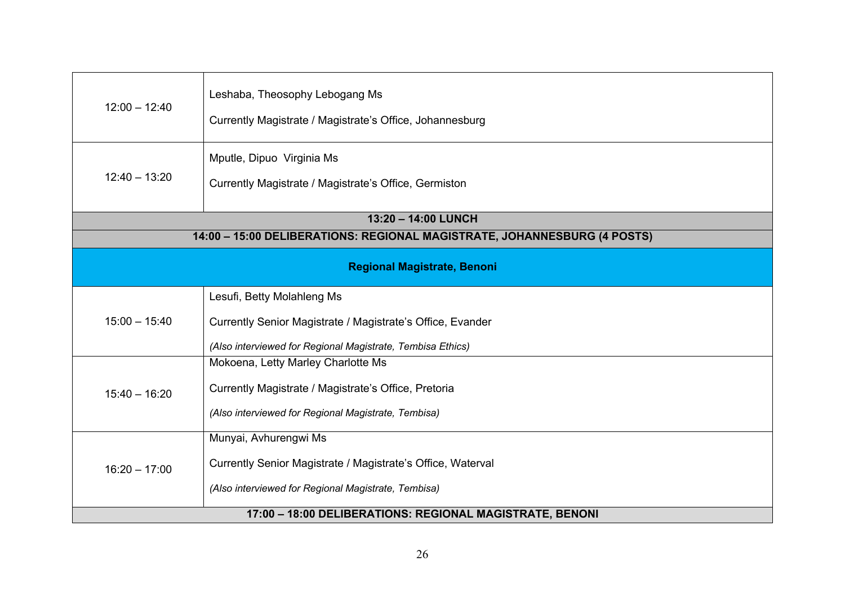| $12:00 - 12:40$                                                          | Leshaba, Theosophy Lebogang Ms<br>Currently Magistrate / Magistrate's Office, Johannesburg                                                             |  |
|--------------------------------------------------------------------------|--------------------------------------------------------------------------------------------------------------------------------------------------------|--|
| $12:40 - 13:20$                                                          | Mputle, Dipuo Virginia Ms<br>Currently Magistrate / Magistrate's Office, Germiston                                                                     |  |
| 13:20 - 14:00 LUNCH                                                      |                                                                                                                                                        |  |
| 14:00 - 15:00 DELIBERATIONS: REGIONAL MAGISTRATE, JOHANNESBURG (4 POSTS) |                                                                                                                                                        |  |
| <b>Regional Magistrate, Benoni</b>                                       |                                                                                                                                                        |  |
| $15:00 - 15:40$                                                          | Lesufi, Betty Molahleng Ms<br>Currently Senior Magistrate / Magistrate's Office, Evander<br>(Also interviewed for Regional Magistrate, Tembisa Ethics) |  |
| $15:40 - 16:20$                                                          | Mokoena, Letty Marley Charlotte Ms<br>Currently Magistrate / Magistrate's Office, Pretoria<br>(Also interviewed for Regional Magistrate, Tembisa)      |  |
| $16:20 - 17:00$                                                          | Munyai, Avhurengwi Ms<br>Currently Senior Magistrate / Magistrate's Office, Waterval<br>(Also interviewed for Regional Magistrate, Tembisa)            |  |
| 17:00 - 18:00 DELIBERATIONS: REGIONAL MAGISTRATE, BENONI                 |                                                                                                                                                        |  |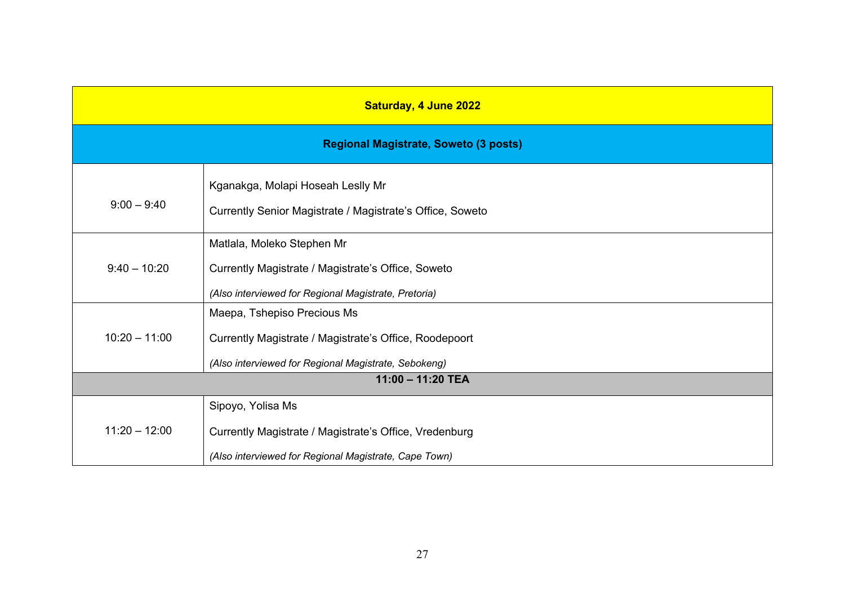| <b>Saturday, 4 June 2022</b>                 |                                                                                                                                               |
|----------------------------------------------|-----------------------------------------------------------------------------------------------------------------------------------------------|
| <b>Regional Magistrate, Soweto (3 posts)</b> |                                                                                                                                               |
| $9:00 - 9:40$                                | Kganakga, Molapi Hoseah Leslly Mr<br>Currently Senior Magistrate / Magistrate's Office, Soweto                                                |
| $9:40 - 10:20$                               | Matlala, Moleko Stephen Mr<br>Currently Magistrate / Magistrate's Office, Soweto<br>(Also interviewed for Regional Magistrate, Pretoria)      |
| $10:20 - 11:00$                              | Maepa, Tshepiso Precious Ms<br>Currently Magistrate / Magistrate's Office, Roodepoort<br>(Also interviewed for Regional Magistrate, Sebokeng) |
| 11:00 - 11:20 TEA                            |                                                                                                                                               |
| $11:20 - 12:00$                              | Sipoyo, Yolisa Ms<br>Currently Magistrate / Magistrate's Office, Vredenburg<br>(Also interviewed for Regional Magistrate, Cape Town)          |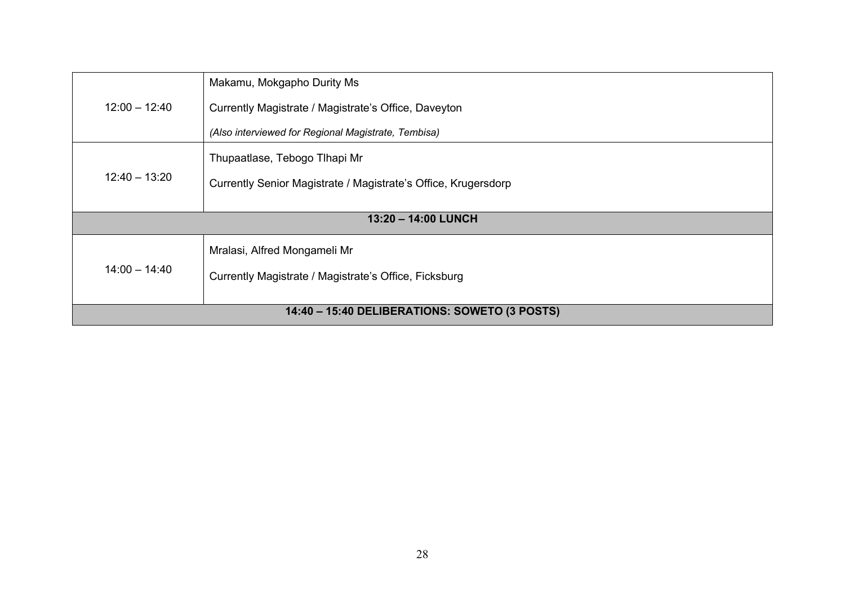| $12:00 - 12:40$                                                                                          | Makamu, Mokgapho Durity Ms<br>Currently Magistrate / Magistrate's Office, Daveyton<br>(Also interviewed for Regional Magistrate, Tembisa) |
|----------------------------------------------------------------------------------------------------------|-------------------------------------------------------------------------------------------------------------------------------------------|
| $12:40 - 13:20$                                                                                          | Thupaatlase, Tebogo Tlhapi Mr<br>Currently Senior Magistrate / Magistrate's Office, Krugersdorp                                           |
| 13:20 - 14:00 LUNCH                                                                                      |                                                                                                                                           |
| Mralasi, Alfred Mongameli Mr<br>$14:00 - 14:40$<br>Currently Magistrate / Magistrate's Office, Ficksburg |                                                                                                                                           |
| 14:40 - 15:40 DELIBERATIONS: SOWETO (3 POSTS)                                                            |                                                                                                                                           |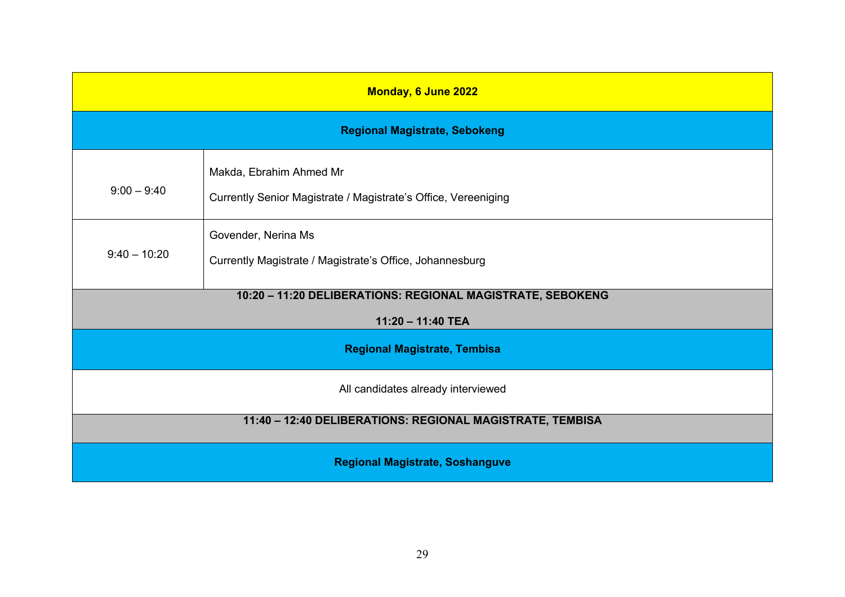| Monday, 6 June 2022                                       |                                                                                           |
|-----------------------------------------------------------|-------------------------------------------------------------------------------------------|
|                                                           | <b>Regional Magistrate, Sebokeng</b>                                                      |
| $9:00 - 9:40$                                             | Makda, Ebrahim Ahmed Mr<br>Currently Senior Magistrate / Magistrate's Office, Vereeniging |
| $9:40 - 10:20$                                            | Govender, Nerina Ms<br>Currently Magistrate / Magistrate's Office, Johannesburg           |
|                                                           | 10:20 - 11:20 DELIBERATIONS: REGIONAL MAGISTRATE, SEBOKENG                                |
| 11:20 - 11:40 TEA                                         |                                                                                           |
| <b>Regional Magistrate, Tembisa</b>                       |                                                                                           |
| All candidates already interviewed                        |                                                                                           |
| 11:40 - 12:40 DELIBERATIONS: REGIONAL MAGISTRATE, TEMBISA |                                                                                           |
| <b>Regional Magistrate, Soshanguve</b>                    |                                                                                           |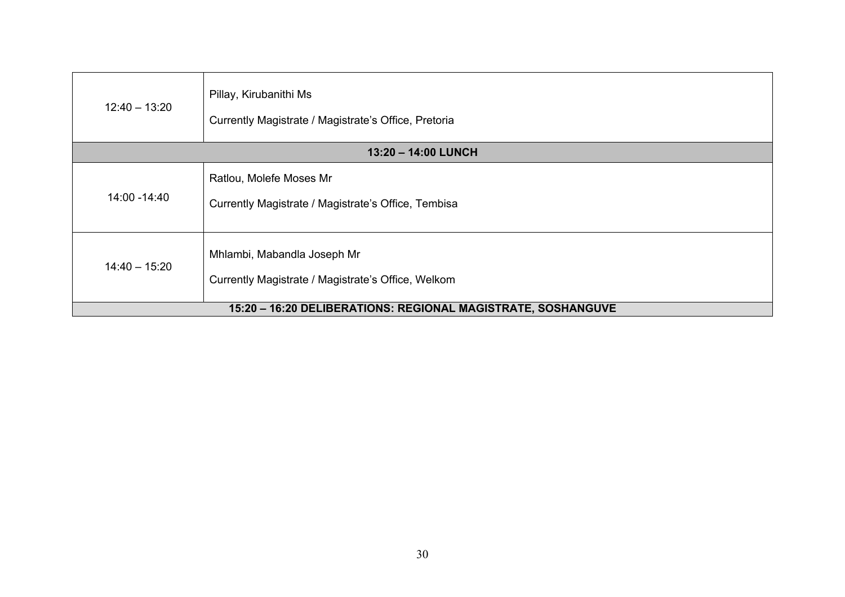| $12:40 - 13:20$                                              | Pillay, Kirubanithi Ms<br>Currently Magistrate / Magistrate's Office, Pretoria    |
|--------------------------------------------------------------|-----------------------------------------------------------------------------------|
| 13:20 - 14:00 LUNCH                                          |                                                                                   |
| 14:00 - 14:40                                                | Ratlou, Molefe Moses Mr<br>Currently Magistrate / Magistrate's Office, Tembisa    |
| $14:40 - 15:20$                                              | Mhlambi, Mabandla Joseph Mr<br>Currently Magistrate / Magistrate's Office, Welkom |
| 15:20 - 16:20 DELIBERATIONS: REGIONAL MAGISTRATE, SOSHANGUVE |                                                                                   |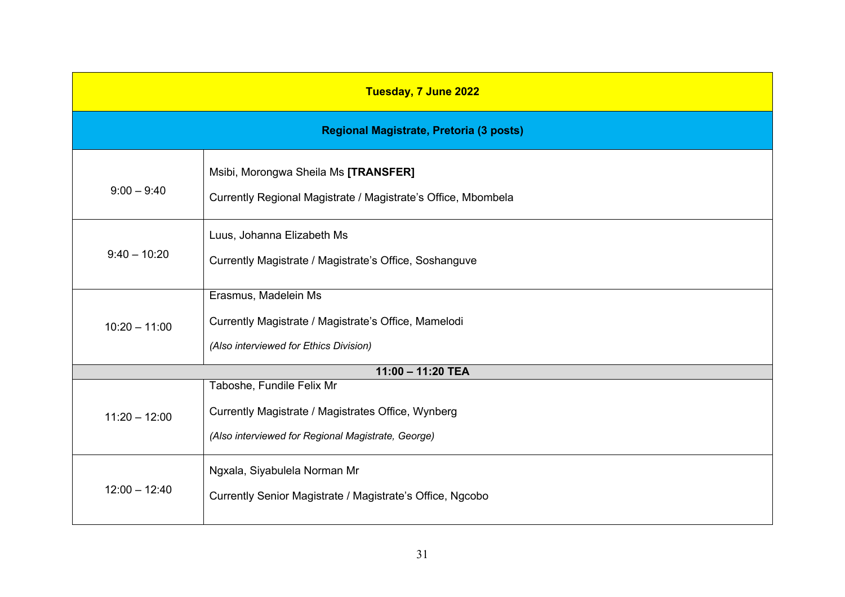| Tuesday, 7 June 2022 |                                                                                                                                       |  |
|----------------------|---------------------------------------------------------------------------------------------------------------------------------------|--|
|                      | Regional Magistrate, Pretoria (3 posts)                                                                                               |  |
| $9:00 - 9:40$        | Msibi, Morongwa Sheila Ms [TRANSFER]<br>Currently Regional Magistrate / Magistrate's Office, Mbombela                                 |  |
| $9:40 - 10:20$       | Luus, Johanna Elizabeth Ms<br>Currently Magistrate / Magistrate's Office, Soshanguve                                                  |  |
| $10:20 - 11:00$      | Erasmus, Madelein Ms<br>Currently Magistrate / Magistrate's Office, Mamelodi<br>(Also interviewed for Ethics Division)                |  |
|                      | 11:00 - 11:20 TEA                                                                                                                     |  |
| $11:20 - 12:00$      | Taboshe, Fundile Felix Mr<br>Currently Magistrate / Magistrates Office, Wynberg<br>(Also interviewed for Regional Magistrate, George) |  |
| $12:00 - 12:40$      | Ngxala, Siyabulela Norman Mr<br>Currently Senior Magistrate / Magistrate's Office, Ngcobo                                             |  |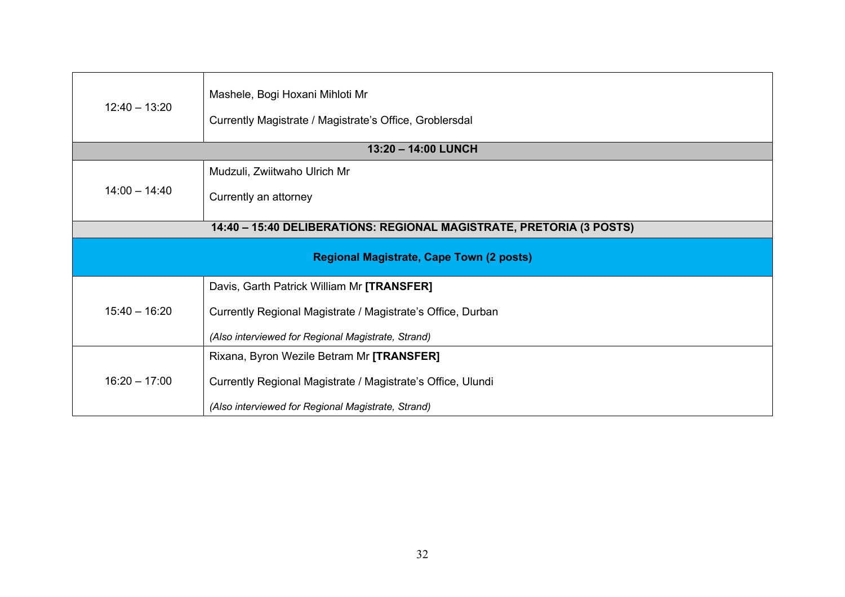| $12:40 - 13:20$                                                      | Mashele, Bogi Hoxani Mihloti Mr<br>Currently Magistrate / Magistrate's Office, Groblersdal                                                                      |  |
|----------------------------------------------------------------------|-----------------------------------------------------------------------------------------------------------------------------------------------------------------|--|
| 13:20 - 14:00 LUNCH                                                  |                                                                                                                                                                 |  |
| $14:00 - 14:40$                                                      | Mudzuli, Zwiitwaho Ulrich Mr<br>Currently an attorney                                                                                                           |  |
| 14:40 - 15:40 DELIBERATIONS: REGIONAL MAGISTRATE, PRETORIA (3 POSTS) |                                                                                                                                                                 |  |
| <b>Regional Magistrate, Cape Town (2 posts)</b>                      |                                                                                                                                                                 |  |
| $15:40 - 16:20$                                                      | Davis, Garth Patrick William Mr [TRANSFER]<br>Currently Regional Magistrate / Magistrate's Office, Durban<br>(Also interviewed for Regional Magistrate, Strand) |  |
| $16:20 - 17:00$                                                      | Rixana, Byron Wezile Betram Mr [TRANSFER]<br>Currently Regional Magistrate / Magistrate's Office, Ulundi<br>(Also interviewed for Regional Magistrate, Strand)  |  |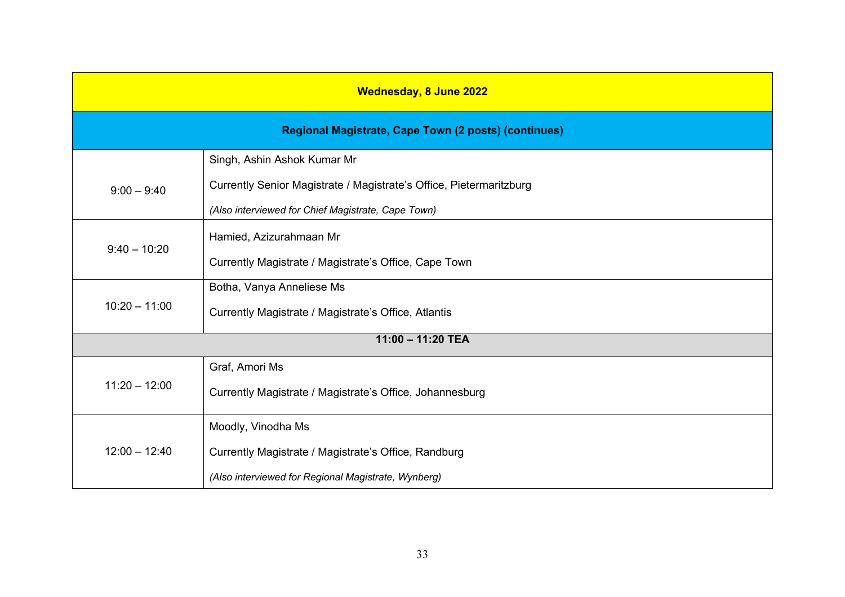| <b>Wednesday, 8 June 2022</b> |                                                                     |  |
|-------------------------------|---------------------------------------------------------------------|--|
|                               | Regional Magistrate, Cape Town (2 posts) (continues)                |  |
| Singh, Ashin Ashok Kumar Mr   |                                                                     |  |
| $9:00 - 9:40$                 | Currently Senior Magistrate / Magistrate's Office, Pietermaritzburg |  |
|                               | (Also interviewed for Chief Magistrate, Cape Town)                  |  |
| $9:40 - 10:20$                | Hamied, Azizurahmaan Mr                                             |  |
|                               | Currently Magistrate / Magistrate's Office, Cape Town               |  |
|                               | Botha, Vanya Anneliese Ms                                           |  |
| $10:20 - 11:00$               | Currently Magistrate / Magistrate's Office, Atlantis                |  |
|                               | 11:00 - 11:20 TEA                                                   |  |
|                               | Graf, Amori Ms                                                      |  |
| $11:20 - 12:00$               | Currently Magistrate / Magistrate's Office, Johannesburg            |  |
|                               | Moodly, Vinodha Ms                                                  |  |
| $12:00 - 12:40$               | Currently Magistrate / Magistrate's Office, Randburg                |  |
|                               | (Also interviewed for Regional Magistrate, Wynberg)                 |  |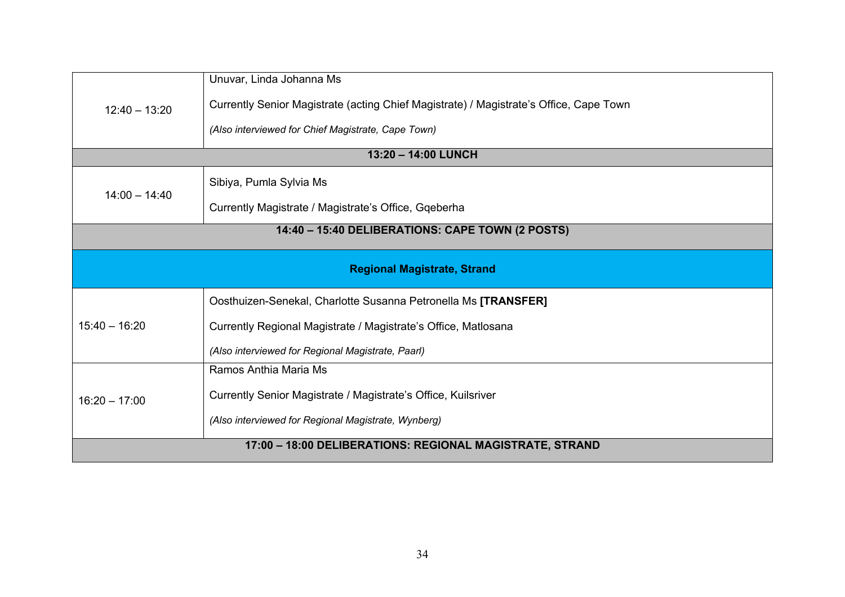| $12:40 - 13:20$                                          | Unuvar, Linda Johanna Ms<br>Currently Senior Magistrate (acting Chief Magistrate) / Magistrate's Office, Cape Town<br>(Also interviewed for Chief Magistrate, Cape Town)              |  |
|----------------------------------------------------------|---------------------------------------------------------------------------------------------------------------------------------------------------------------------------------------|--|
|                                                          | 13:20 - 14:00 LUNCH                                                                                                                                                                   |  |
| $14:00 - 14:40$                                          | Sibiya, Pumla Sylvia Ms<br>Currently Magistrate / Magistrate's Office, Gqeberha                                                                                                       |  |
| 14:40 - 15:40 DELIBERATIONS: CAPE TOWN (2 POSTS)         |                                                                                                                                                                                       |  |
| <b>Regional Magistrate, Strand</b>                       |                                                                                                                                                                                       |  |
| $15:40 - 16:20$                                          | Oosthuizen-Senekal, Charlotte Susanna Petronella Ms [TRANSFER]<br>Currently Regional Magistrate / Magistrate's Office, Matlosana<br>(Also interviewed for Regional Magistrate, Paarl) |  |
| $16:20 - 17:00$                                          | Ramos Anthia Maria Ms<br>Currently Senior Magistrate / Magistrate's Office, Kuilsriver<br>(Also interviewed for Regional Magistrate, Wynberg)                                         |  |
| 17:00 - 18:00 DELIBERATIONS: REGIONAL MAGISTRATE, STRAND |                                                                                                                                                                                       |  |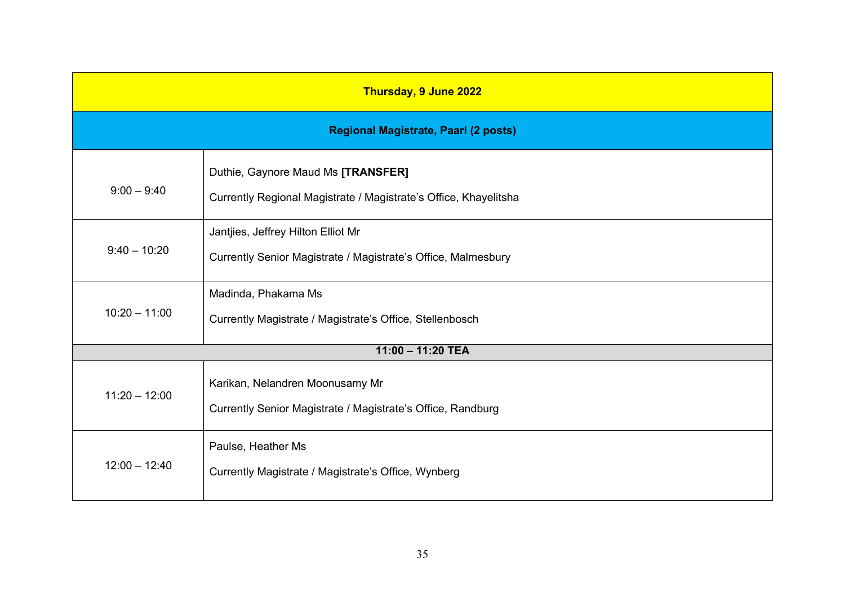| Thursday, 9 June 2022                       |                                                                                                        |
|---------------------------------------------|--------------------------------------------------------------------------------------------------------|
| <b>Regional Magistrate, Paarl (2 posts)</b> |                                                                                                        |
| $9:00 - 9:40$                               | Duthie, Gaynore Maud Ms [TRANSFER]<br>Currently Regional Magistrate / Magistrate's Office, Khayelitsha |
| $9:40 - 10:20$                              | Jantjies, Jeffrey Hilton Elliot Mr<br>Currently Senior Magistrate / Magistrate's Office, Malmesbury    |
| $10:20 - 11:00$                             | Madinda, Phakama Ms<br>Currently Magistrate / Magistrate's Office, Stellenbosch                        |
|                                             | 11:00 - 11:20 TEA                                                                                      |
| $11:20 - 12:00$                             | Karikan, Nelandren Moonusamy Mr<br>Currently Senior Magistrate / Magistrate's Office, Randburg         |
| $12:00 - 12:40$                             | Paulse, Heather Ms<br>Currently Magistrate / Magistrate's Office, Wynberg                              |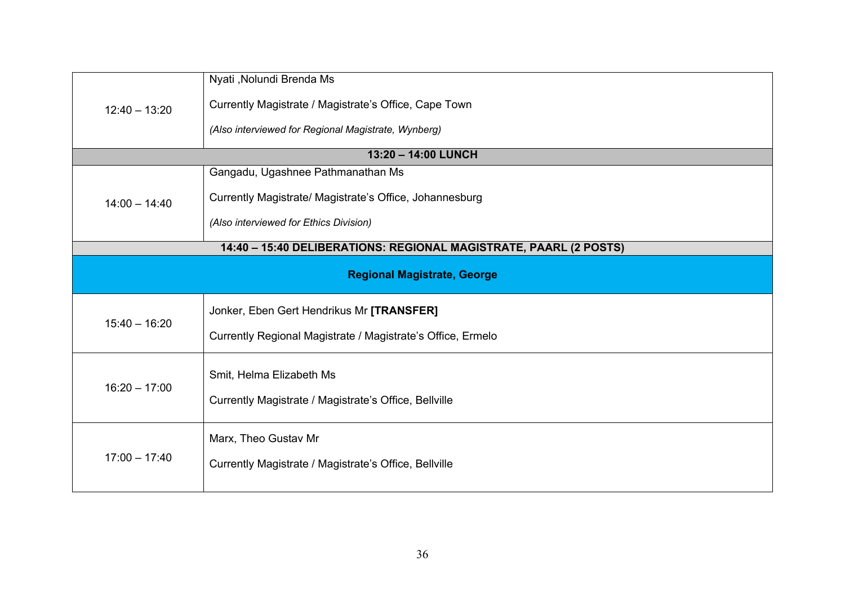| $12:40 - 13:20$                                                   | Nyati , Nolundi Brenda Ms<br>Currently Magistrate / Magistrate's Office, Cape Town<br>(Also interviewed for Regional Magistrate, Wynberg) |  |  |
|-------------------------------------------------------------------|-------------------------------------------------------------------------------------------------------------------------------------------|--|--|
|                                                                   | 13:20 - 14:00 LUNCH                                                                                                                       |  |  |
| $14:00 - 14:40$                                                   | Gangadu, Ugashnee Pathmanathan Ms<br>Currently Magistrate/ Magistrate's Office, Johannesburg<br>(Also interviewed for Ethics Division)    |  |  |
| 14:40 - 15:40 DELIBERATIONS: REGIONAL MAGISTRATE, PAARL (2 POSTS) |                                                                                                                                           |  |  |
|                                                                   | <b>Regional Magistrate, George</b>                                                                                                        |  |  |
| $15:40 - 16:20$                                                   | Jonker, Eben Gert Hendrikus Mr [TRANSFER]<br>Currently Regional Magistrate / Magistrate's Office, Ermelo                                  |  |  |
| $16:20 - 17:00$                                                   | Smit, Helma Elizabeth Ms<br>Currently Magistrate / Magistrate's Office, Bellville                                                         |  |  |
| $17:00 - 17:40$                                                   | Marx, Theo Gustav Mr<br>Currently Magistrate / Magistrate's Office, Bellville                                                             |  |  |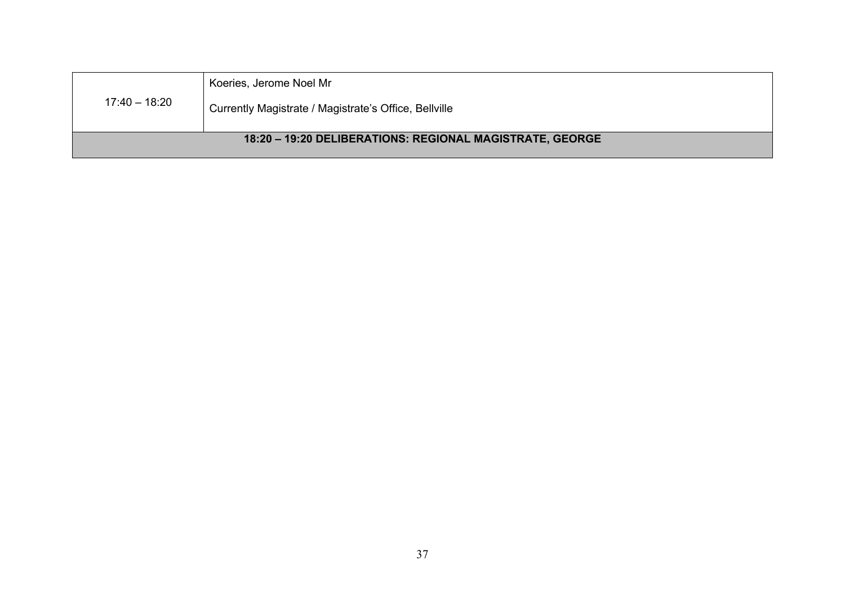| 17:40 – 18:20 | Koeries, Jerome Noel Mr                                  |
|---------------|----------------------------------------------------------|
|               | Currently Magistrate / Magistrate's Office, Bellville    |
|               | 18:20 - 19:20 DELIBERATIONS: REGIONAL MAGISTRATE, GEORGE |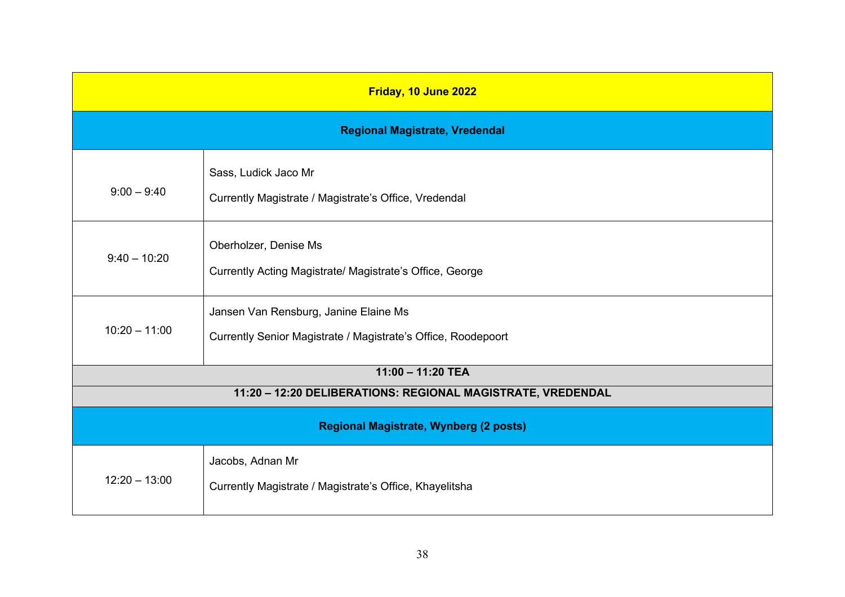| Friday, 10 June 2022                                                               |                                                                                                        |
|------------------------------------------------------------------------------------|--------------------------------------------------------------------------------------------------------|
| <b>Regional Magistrate, Vredendal</b>                                              |                                                                                                        |
| $9:00 - 9:40$                                                                      | Sass, Ludick Jaco Mr<br>Currently Magistrate / Magistrate's Office, Vredendal                          |
| $9:40 - 10:20$                                                                     | Oberholzer, Denise Ms<br>Currently Acting Magistrate/ Magistrate's Office, George                      |
| $10:20 - 11:00$                                                                    | Jansen Van Rensburg, Janine Elaine Ms<br>Currently Senior Magistrate / Magistrate's Office, Roodepoort |
| $11:00 - 11:20$ TEA<br>11:20 - 12:20 DELIBERATIONS: REGIONAL MAGISTRATE, VREDENDAL |                                                                                                        |
| <b>Regional Magistrate, Wynberg (2 posts)</b>                                      |                                                                                                        |
| $12:20 - 13:00$                                                                    | Jacobs, Adnan Mr<br>Currently Magistrate / Magistrate's Office, Khayelitsha                            |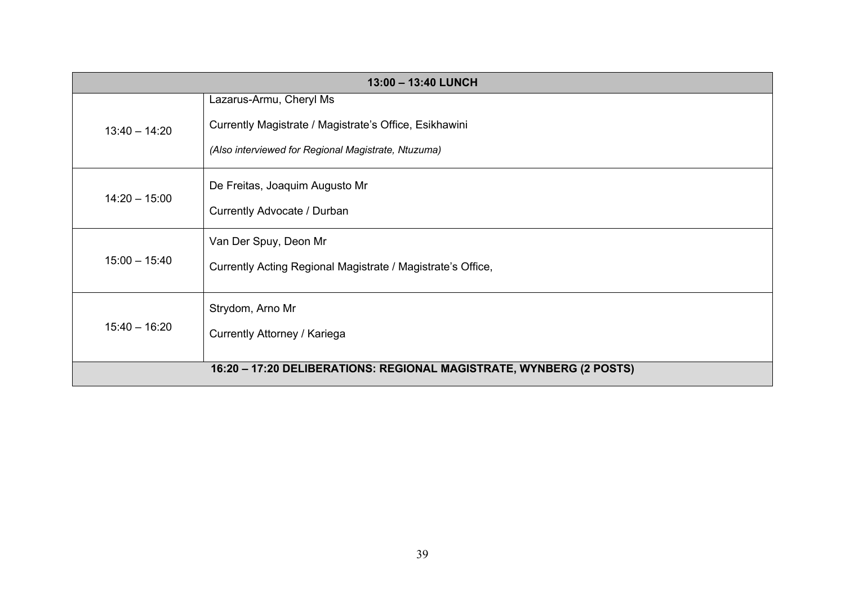| 13:00 - 13:40 LUNCH |                                                                     |
|---------------------|---------------------------------------------------------------------|
|                     | Lazarus-Armu, Cheryl Ms                                             |
| $13:40 - 14:20$     | Currently Magistrate / Magistrate's Office, Esikhawini              |
|                     | (Also interviewed for Regional Magistrate, Ntuzuma)                 |
| $14:20 - 15:00$     | De Freitas, Joaquim Augusto Mr                                      |
|                     | Currently Advocate / Durban                                         |
| $15:00 - 15:40$     | Van Der Spuy, Deon Mr                                               |
|                     | Currently Acting Regional Magistrate / Magistrate's Office,         |
| $15:40 - 16:20$     | Strydom, Arno Mr                                                    |
|                     | Currently Attorney / Kariega                                        |
|                     | 16:20 - 17:20 DELIBERATIONS: REGIONAL MAGISTRATE, WYNBERG (2 POSTS) |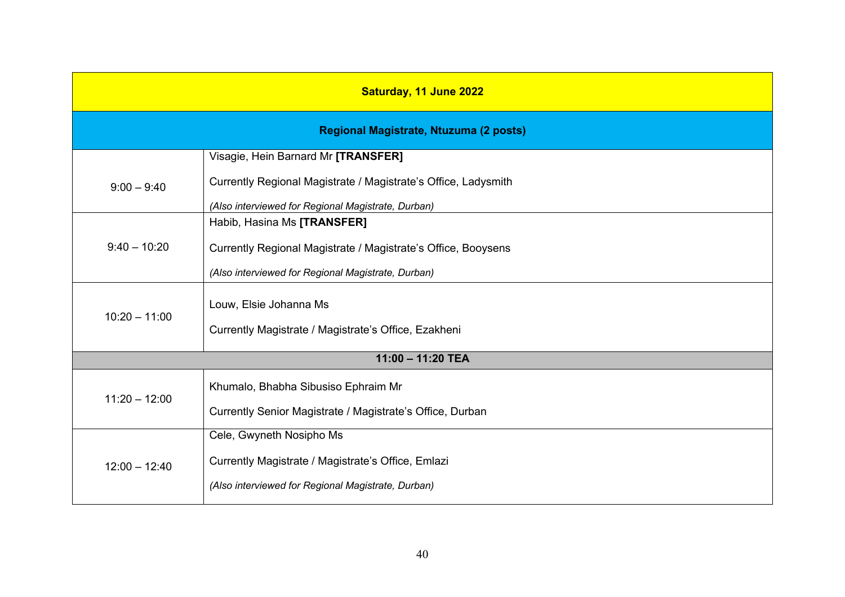| Saturday, 11 June 2022                 |                                                                |
|----------------------------------------|----------------------------------------------------------------|
| Regional Magistrate, Ntuzuma (2 posts) |                                                                |
|                                        | Visagie, Hein Barnard Mr [TRANSFER]                            |
| $9:00 - 9:40$                          | Currently Regional Magistrate / Magistrate's Office, Ladysmith |
|                                        | (Also interviewed for Regional Magistrate, Durban)             |
|                                        | Habib, Hasina Ms [TRANSFER]                                    |
| $9:40 - 10:20$                         | Currently Regional Magistrate / Magistrate's Office, Booysens  |
|                                        | (Also interviewed for Regional Magistrate, Durban)             |
| $10:20 - 11:00$                        | Louw, Elsie Johanna Ms                                         |
|                                        | Currently Magistrate / Magistrate's Office, Ezakheni           |
| 11:00 - 11:20 TEA                      |                                                                |
| $11:20 - 12:00$                        | Khumalo, Bhabha Sibusiso Ephraim Mr                            |
|                                        | Currently Senior Magistrate / Magistrate's Office, Durban      |
|                                        | Cele, Gwyneth Nosipho Ms                                       |
| $12:00 - 12:40$                        | Currently Magistrate / Magistrate's Office, Emlazi             |
|                                        | (Also interviewed for Regional Magistrate, Durban)             |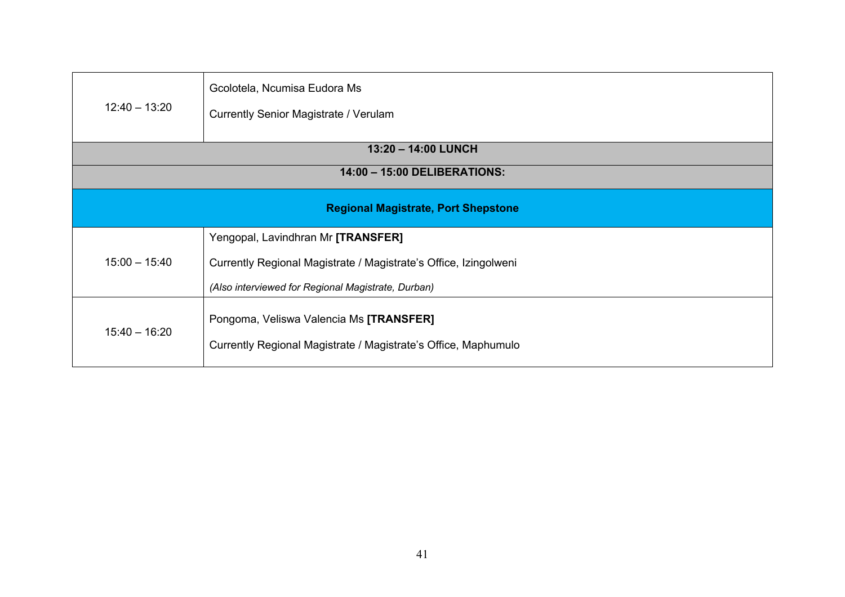| $12:40 - 13:20$                            | Gcolotela, Ncumisa Eudora Ms<br><b>Currently Senior Magistrate / Verulam</b>                              |  |
|--------------------------------------------|-----------------------------------------------------------------------------------------------------------|--|
| 13:20 - 14:00 LUNCH                        |                                                                                                           |  |
| 14:00 - 15:00 DELIBERATIONS:               |                                                                                                           |  |
| <b>Regional Magistrate, Port Shepstone</b> |                                                                                                           |  |
|                                            | Yengopal, Lavindhran Mr [TRANSFER]                                                                        |  |
| $15:00 - 15:40$                            | Currently Regional Magistrate / Magistrate's Office, Izingolweni                                          |  |
|                                            | (Also interviewed for Regional Magistrate, Durban)                                                        |  |
| $15:40 - 16:20$                            | Pongoma, Veliswa Valencia Ms [TRANSFER]<br>Currently Regional Magistrate / Magistrate's Office, Maphumulo |  |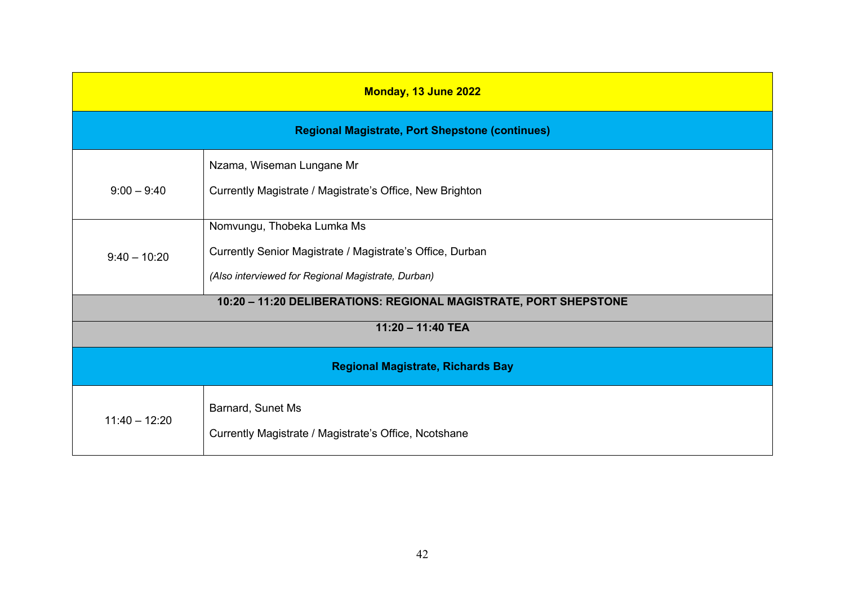| Monday, 13 June 2022                                   |                                                                                                                                               |
|--------------------------------------------------------|-----------------------------------------------------------------------------------------------------------------------------------------------|
| <b>Regional Magistrate, Port Shepstone (continues)</b> |                                                                                                                                               |
| $9:00 - 9:40$                                          | Nzama, Wiseman Lungane Mr<br>Currently Magistrate / Magistrate's Office, New Brighton                                                         |
| $9:40 - 10:20$                                         | Nomvungu, Thobeka Lumka Ms<br>Currently Senior Magistrate / Magistrate's Office, Durban<br>(Also interviewed for Regional Magistrate, Durban) |
|                                                        | 10:20 - 11:20 DELIBERATIONS: REGIONAL MAGISTRATE, PORT SHEPSTONE                                                                              |
| 11:20 - 11:40 TEA                                      |                                                                                                                                               |
| <b>Regional Magistrate, Richards Bay</b>               |                                                                                                                                               |
| $11:40 - 12:20$                                        | Barnard, Sunet Ms<br>Currently Magistrate / Magistrate's Office, Ncotshane                                                                    |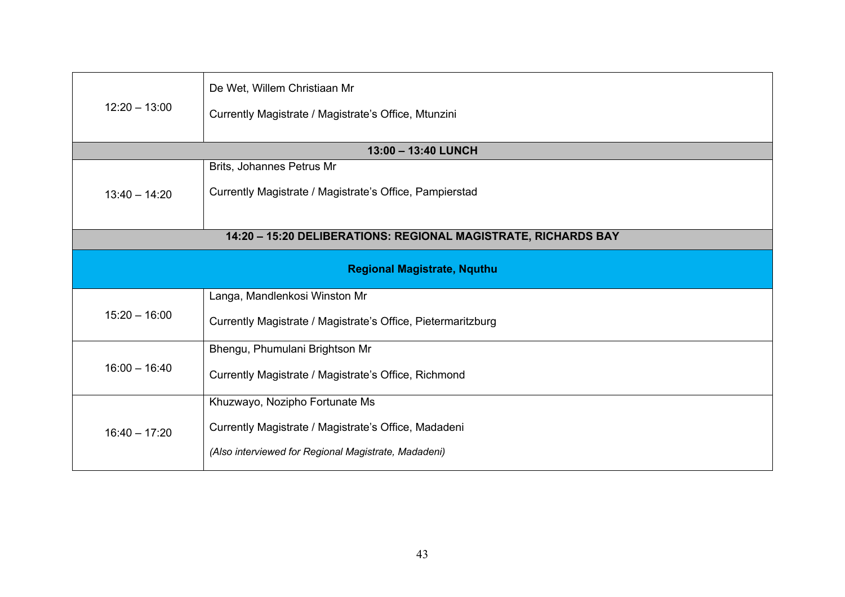| $12:20 - 13:00$                                                | De Wet, Willem Christiaan Mr<br>Currently Magistrate / Magistrate's Office, Mtunzini |
|----------------------------------------------------------------|--------------------------------------------------------------------------------------|
|                                                                | 13:00 - 13:40 LUNCH                                                                  |
|                                                                | Brits, Johannes Petrus Mr                                                            |
| $13:40 - 14:20$                                                | Currently Magistrate / Magistrate's Office, Pampierstad                              |
|                                                                |                                                                                      |
| 14:20 - 15:20 DELIBERATIONS: REGIONAL MAGISTRATE, RICHARDS BAY |                                                                                      |
| <b>Regional Magistrate, Nquthu</b>                             |                                                                                      |
|                                                                | Langa, Mandlenkosi Winston Mr                                                        |
| $15:20 - 16:00$                                                | Currently Magistrate / Magistrate's Office, Pietermaritzburg                         |
| $16:00 - 16:40$                                                | Bhengu, Phumulani Brightson Mr                                                       |
|                                                                | Currently Magistrate / Magistrate's Office, Richmond                                 |
| $16:40 - 17:20$                                                | Khuzwayo, Nozipho Fortunate Ms                                                       |
|                                                                | Currently Magistrate / Magistrate's Office, Madadeni                                 |
|                                                                | (Also interviewed for Regional Magistrate, Madadeni)                                 |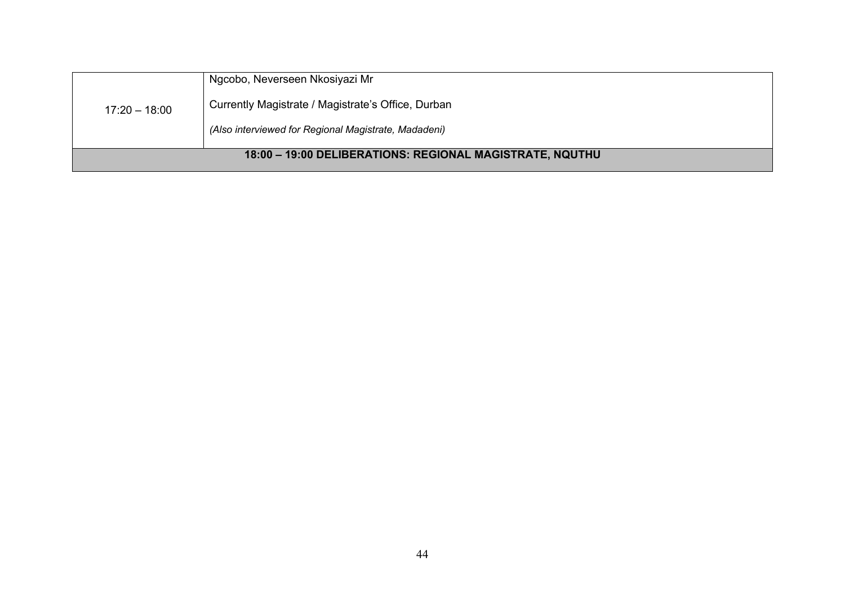| $17:20 - 18:00$                                          | Ngcobo, Neverseen Nkosiyazi Mr                       |
|----------------------------------------------------------|------------------------------------------------------|
|                                                          | Currently Magistrate / Magistrate's Office, Durban   |
|                                                          | (Also interviewed for Regional Magistrate, Madadeni) |
| 18:00 - 19:00 DELIBERATIONS: REGIONAL MAGISTRATE, NQUTHU |                                                      |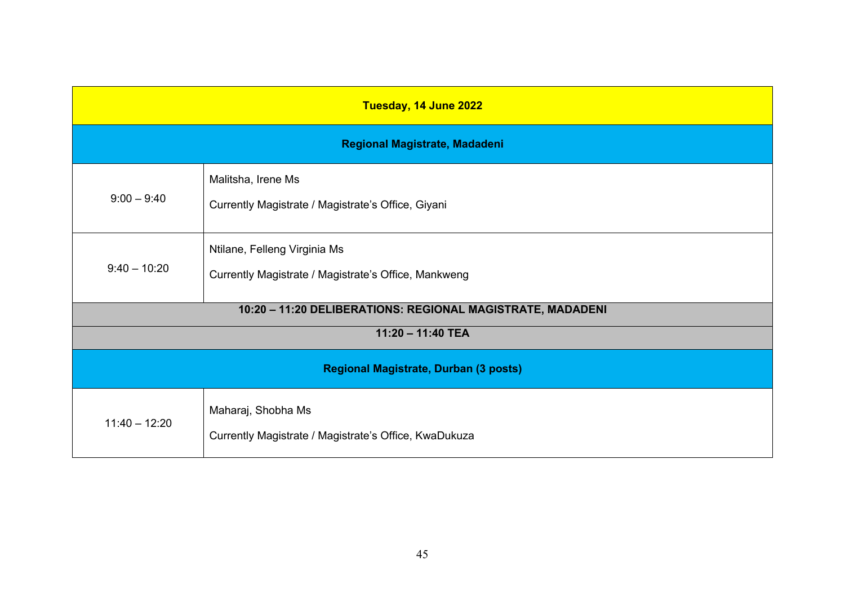| Tuesday, 14 June 2022                 |                                                                                      |
|---------------------------------------|--------------------------------------------------------------------------------------|
| Regional Magistrate, Madadeni         |                                                                                      |
| $9:00 - 9:40$                         | Malitsha, Irene Ms<br>Currently Magistrate / Magistrate's Office, Giyani             |
| $9:40 - 10:20$                        | Ntilane, Felleng Virginia Ms<br>Currently Magistrate / Magistrate's Office, Mankweng |
|                                       | 10:20 - 11:20 DELIBERATIONS: REGIONAL MAGISTRATE, MADADENI                           |
| 11:20 - 11:40 TEA                     |                                                                                      |
| Regional Magistrate, Durban (3 posts) |                                                                                      |
| $11:40 - 12:20$                       | Maharaj, Shobha Ms<br>Currently Magistrate / Magistrate's Office, KwaDukuza          |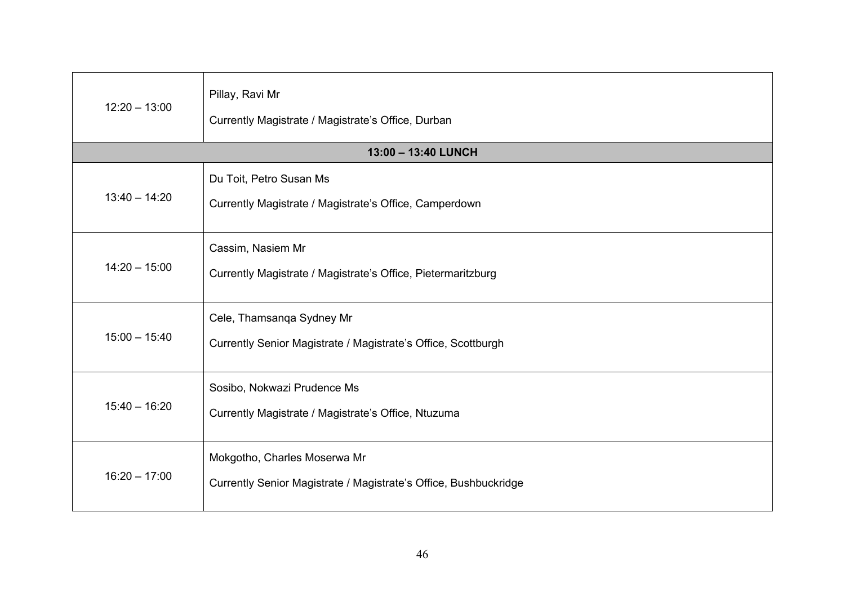| $12:20 - 13:00$ | Pillay, Ravi Mr<br>Currently Magistrate / Magistrate's Office, Durban<br>13:00 - 13:40 LUNCH |
|-----------------|----------------------------------------------------------------------------------------------|
|                 |                                                                                              |
|                 | Du Toit, Petro Susan Ms                                                                      |
| $13:40 - 14:20$ | Currently Magistrate / Magistrate's Office, Camperdown                                       |
|                 | Cassim, Nasiem Mr                                                                            |
| $14:20 - 15:00$ | Currently Magistrate / Magistrate's Office, Pietermaritzburg                                 |
|                 |                                                                                              |
|                 | Cele, Thamsanga Sydney Mr                                                                    |
| $15:00 - 15:40$ | Currently Senior Magistrate / Magistrate's Office, Scottburgh                                |
|                 |                                                                                              |
|                 | Sosibo, Nokwazi Prudence Ms                                                                  |
| $15:40 - 16:20$ | Currently Magistrate / Magistrate's Office, Ntuzuma                                          |
|                 |                                                                                              |
| $16:20 - 17:00$ | Mokgotho, Charles Moserwa Mr                                                                 |
|                 | Currently Senior Magistrate / Magistrate's Office, Bushbuckridge                             |
|                 |                                                                                              |